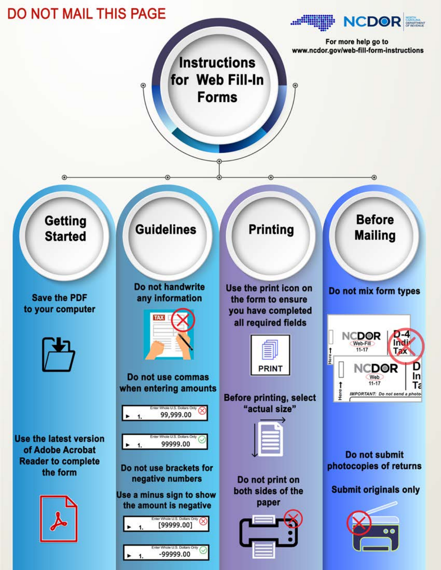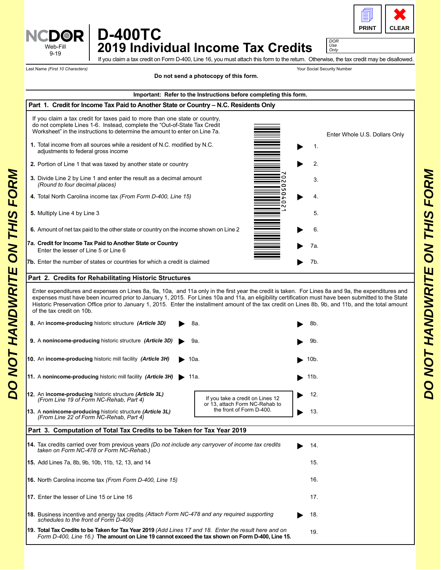

*DOR*

**D-400TC ICDOR** 

**2019 Individual Income Tax Credits**  $\frac{U_{\text{SSE}}}{\frac{9}{2} + 19}$ 

Last Name *(First 10 Characters)* Your Social Security Number

If you claim a tax credit on Form D-400, Line 16, you must attach this form to the return. Otherwise, the tax credit may be disallowed.

**Part 1. Credit for Income Tax Paid to Another State or Country – N.C. Residents Only 5.** Multiply Line 4 by Line 3 **3.** Divide Line 2 by Line 1 and enter the result as a decimal amount *(Round to four decimal places)* **1.** Total income from all sources while a resident of N.C. modified by N.C. adjustments to federal gross income **2.** Portion of Line 1 that was taxed by another state or country **4.** Total North Carolina income tax *(From Form D-400, Line 15)* **6.** Amount of net tax paid to the other state or country on the income shown on Line 2 **7a. Credit for Income Tax Paid to Another State or Country** Enter the lesser of Line 5 or Line 6 **7b.** Enter the number of states or countries for which a credit is claimed **Total Tax Credits to be Taken for Tax Year 2019** *(Add Lines 17 and 18. Enter the result here and on* **19.** *Form D-400, Line 16.)* **The amount on Line 19 cannot exceed the tax shown on Form D-400, Line 15. 17.** Enter the lesser of Line 15 or Line 16 **16.** North Carolina income tax *(From Form D-400, Line 15)* **15.** Add Lines 7a, 8b, 9b, 10b, 11b, 12, 13, and 14 **18.** Business incentive and energy tax credits *(Attach Form NC-478 and any required supporting schedules to the front of Form D-400)* **8.** An **income-producing** historic structure *(Article 3D)* 8a. **9.** A **nonincome-producing** historic structure *(Article 3D)* 9a. **14.** Tax credits carried over from previous years *(Do not include any carryover of income tax credits taken on Form NC-478 or Form NC-Rehab.)* **Part 3. Computation of Total Tax Credits to be Taken for Tax Year 2019 11.** A **nonincome-producing** historic mill facility *(Article 3H)* 11a. **10.** An **income-producing** historic mill facility *(Article 3H)* 10a. **12.** An **income-producing** historic structure *(Article 3L) (From Line 19 of Form NC-Rehab, Part 4)* **13.** A **nonincome-producing** historic structure *(Article 3L) (From Line 22 of Form NC-Rehab, Part 4)* If you claim a tax credit for taxes paid to more than one state or country, do not complete Lines 1-6. Instead, complete the "Out-of-State Tax Credit Worksheet" in the instructions to determine the amount to enter on Line 7a. **Important: Refer to the Instructions before completing this form.** Enter expenditures and expenses on Lines 8a, 9a, 10a, and 11a only in the first year the credit is taken. For Lines 8a and 9a, the expenditures and expenses must have been incurred prior to January 1, 2015. For Lines 10a and 11a, an eligibility certification must have been submitted to the State Historic Preservation Office prior to January 1, 2015. Enter the installment amount of the tax credit on Lines 8b, 9b, and 11b, and the total amount of the tax credit on 10b. **Part 2. Credits for Rehabilitating Historic Structures** 5. 3. 1. Enter Whole U.S. Dollars Only 2. 4. 6. 7a. 7b. 19. 17. 16. 15. 18. 8b. 9b. 14. 11b. 10b. 12. 13. If you take a credit on Lines 12 or 13, attach Form NC-Rehab to the front of Form D-400. **Do not send a photocopy of this form.** 3. Divide Line 2 by Line 1 and entier the coult as a decimal amount<br>
4. Total North Carolina phone tax (*if orm Form D-400, Line 15)*<br>
4. Total North Carolina from the tax (*if orm Form D-400, Line 15)*<br>
5. Multiply Line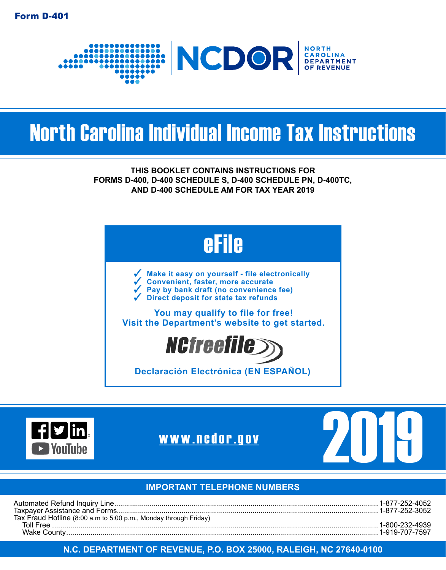

# North Carolina Individual Income Tax Instructions

**THIS BOOKLET CONTAINS INSTRUCTIONS FOR FORMS D-400, D-400 SCHEDULE S, D-400 SCHEDULE PN, D-400TC, AND D-400 SCHEDULE AM FOR TAX YEAR 2019**







#### **IMPORTANT TELEPHONE NUMBERS**

| Tax Fraud Hotline (8:00 a.m to 5:00 p.m., Monday through Friday) |  |
|------------------------------------------------------------------|--|
| Toll Free                                                        |  |
|                                                                  |  |

#### **N.C. DEPARTMENT OF REVENUE, P.O. BOX 25000, RALEIGH, NC 27640-0100**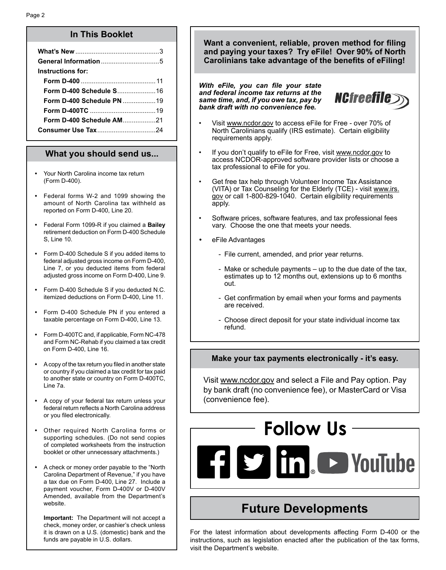#### **In This Booklet**

| Instructions for:                |  |
|----------------------------------|--|
|                                  |  |
| Form D-400 Schedule S16          |  |
| <b>Form D-400 Schedule PN 19</b> |  |
|                                  |  |
|                                  |  |
|                                  |  |

#### **What you should send us...**

- **•** Your North Carolina income tax return (Form D-400).
- **•** Federal forms W-2 and 1099 showing the amount of North Carolina tax withheld as reported on Form D-400, Line 20.
- **•** Federal Form 1099-R if you claimed a **Bailey** retirement deduction on Form D-400 Schedule S, Line 10.
- **•** Form D-400 Schedule S if you added items to federal adjusted gross income on Form D-400, Line 7, or you deducted items from federal adjusted gross income on Form D-400, Line 9.
- **•** Form D-400 Schedule S if you deducted N.C. itemized deductions on Form D-400, Line 11.
- **•** Form D-400 Schedule PN if you entered a taxable percentage on Form D-400, Line 13.
- **•** Form D-400TC and, if applicable, Form NC-478 and Form NC-Rehab if you claimed a tax credit on Form D-400, Line 16.
- **•** A copy of the tax return you filed in another state or country if you claimed a tax credit for tax paid to another state or country on Form D-400TC, Line 7a.
- **•** A copy of your federal tax return unless your federal return reflects a North Carolina address or you filed electronically.
- **•** Other required North Carolina forms or supporting schedules. (Do not send copies of completed worksheets from the instruction booklet or other unnecessary attachments.)
- **•** A check or money order payable to the "North Carolina Department of Revenue," if you have a tax due on Form D-400, Line 27. Include a payment voucher, Form D-400V or D-400V Amended, available from the Department's website.

**Important:** The Department will not accept a check, money order, or cashier's check unless it is drawn on a U.S. (domestic) bank and the funds are payable in U.S. dollars.

**Want a convenient, reliable, proven method for filing and paying your taxes? Try eFile! Over 90% of North Carolinians take advantage of the benefits of eFiling!**

*With eFile, you can file your state and federal income tax returns at the same time, and, if you owe tax, pay by bank draft with no convenience fee.*



- Visit www.ncdor.gov to access eFile for Free over 70% of North Carolinians qualify (IRS estimate). Certain eligibility requirements apply.
- If you don't qualify to eFile for Free, visit www.ncdor.gov to access NCDOR-approved software provider lists or choose a tax professional to eFile for you.
- Get free tax help through Volunteer Income Tax Assistance (VITA) or Tax Counseling for the Elderly (TCE) - visit www.irs. gov or call 1-800-829-1040. Certain eligibility requirements apply.
- Software prices, software features, and tax professional fees vary. Choose the one that meets your needs.
- *•* eFile Advantages
	- File current, amended, and prior year returns.
	- Make or schedule payments up to the due date of the tax, estimates up to 12 months out, extensions up to 6 months out.
	- Get confirmation by email when your forms and payments are received.
	- Choose direct deposit for your state individual income tax refund.

#### **Make your tax payments electronically - it's easy.**

Visit www.ncdor.gov and select a File and Pay option. Pay by bank draft (no convenience fee), or MasterCard or Visa (convenience fee).

# **Follow UsEdition** Control Control Control Control Control Control Control Control Control Control Control Control Control Control Control Control Control Control Control Control Control Control Control Control Control Control Cont

## **Future Developments**

For the latest information about developments affecting Form D-400 or the instructions, such as legislation enacted after the publication of the tax forms, visit the Department's website.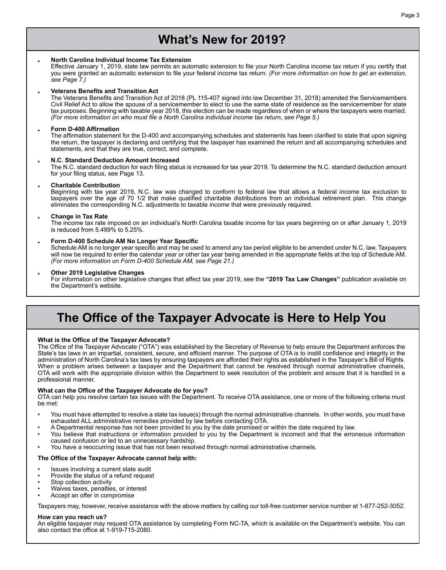## **What's New for 2019?**

#### • **North Carolina Individual Income Tax Extension**

Effective January 1, 2019, state law permits an automatic extension to file your North Carolina income tax return if you certify that you were granted an automatic extension to file your federal income tax return. *(For more information on how to get an extension, see Page 7.)*

#### • **Veterans Benefits and Transition Act**

The Veterans Benefits and Transition Act of 2018 (PL 115-407 signed into law December 31, 2018) amended the Servicemembers Civil Relief Act to allow the spouse of a servicemember to elect to use the same state of residence as the servicemember for state tax purposes. Beginning with taxable year 2018, this election can be made regardless of when or where the taxpayers were married. *(For more information on who must file a North Carolina individual income tax return, see Page 5.)* 

#### • **Form D-400 Affirmation**

The affirmation statement for the D-400 and accompanying schedules and statements has been clarified to state that upon signing the return, the taxpayer is declaring and certifying that the taxpayer has examined the return and all accompanying schedules and statements, and that they are true, correct, and complete.

#### • **N.C. Standard Deduction Amount Increased**

The N.C. standard deduction for each filing status is increased for tax year 2019. To determine the N.C. standard deduction amount for your filing status, see Page 13.

#### • **Charitable Contribution**

Beginning with tax year 2019, N.C. law was changed to conform to federal law that allows a federal income tax exclusion to taxpayers over the age of 70 1/2 that make qualified charitable distributions from an individual retirement plan. This change eliminates the corresponding N.C. adjustments to taxable income that were previously required.

#### • **Change in Tax Rate**

The income tax rate imposed on an individual's North Carolina taxable income for tax years beginning on or after January 1, 2019 is reduced from 5.499% to 5.25%.

#### • **Form D-400 Schedule AM No Longer Year Specific**

Schedule AM is no longer year specific and may be used to amend any tax period eligible to be amended under N.C. law. Taxpayers will now be required to enter the calendar year or other tax year being amended in the appropriate fields at the top of Schedule AM. *(For more information on Form D-400 Schedule AM, see Page 21.)*

#### • **Other 2019 Legislative Changes**

For information on other legislative changes that affect tax year 2019, see the **"2019 Tax Law Changes"** publication available on the Department's website.

## **The Office of the Taxpayer Advocate is Here to Help You**

#### **What is the Office of the Taxpayer Advocate?**

The Office of the Taxpayer Advocate ("OTA") was established by the Secretary of Revenue to help ensure the Department enforces the State's tax laws in an impartial, consistent, secure, and efficient manner. The purpose of OTA is to instill confidence and integrity in the administration of North Carolina's tax laws by ensuring taxpayers are afforded their rights as established in the Taxpayer's Bill of Rights. When a problem arises between a taxpayer and the Department that cannot be resolved through normal administrative channels, OTA will work with the appropriate division within the Department to seek resolution of the problem and ensure that it is handled in a professional manner.

#### **What can the Office of the Taxpayer Advocate do for you?**

OTA can help you resolve certain tax issues with the Department. To receive OTA assistance, one or more of the following criteria must be met:

- You must have attempted to resolve a state tax issue(s) through the normal administrative channels. In other words, you must have exhausted ALL administrative remedies provided by law before contacting OTA.
- A Departmental response has not been provided to you by the date promised or within the date required by law.
- You believe that instructions or information provided to you by the Department is incorrect and that the erroneous information caused confusion or led to an unnecessary hardship.
- You have a reoccurring issue that has not been resolved through normal administrative channels.

#### **The Office of the Taxpayer Advocate cannot help with:**

- Issues involving a current state audit
- Provide the status of a refund request
- Stop collection activity
- Waives taxes, penalties, or interest
- Accept an offer in compromise

Taxpayers may, however, receive assistance with the above matters by calling our toll-free customer service number at 1-877-252-3052.

#### **How can you reach us?**

An eligible taxpayer may request OTA assistance by completing Form NC-TA, which is available on the Department's website. You can also contact the office at 1-919-715-2080.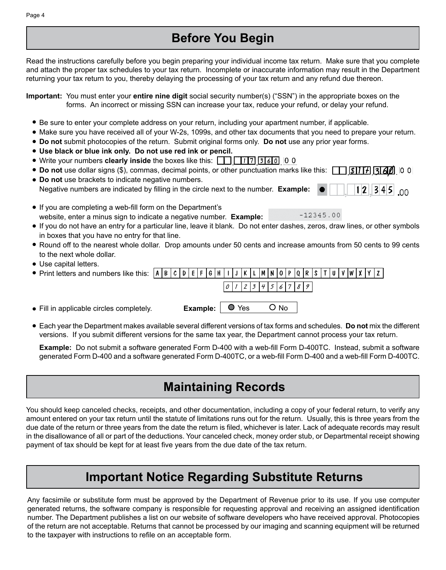## **Before You Begin**

Read the instructions carefully before you begin preparing your individual income tax return. Make sure that you complete and attach the proper tax schedules to your tax return. Incomplete or inaccurate information may result in the Department returning your tax return to you, thereby delaying the processing of your tax return and any refund due thereon.

**Important:** You must enter your **entire nine digit** social security number(s) ("SSN") in the appropriate boxes on the forms. An incorrect or missing SSN can increase your tax, reduce your refund, or delay your refund.

- Be sure to enter your complete address on your return, including your apartment number, if applicable.
- Make sure you have received all of your W-2s, 1099s, and other tax documents that you need to prepare your return.
- **Do not** submit photocopies of the return. Submit original forms only. **Do not** use any prior year forms.
- **Use black or blue ink only. Do not use red ink or pencil.**
- **•** Write your numbers clearly inside the boxes like this:  $\boxed{1}$ ,  $\boxed{11}$ ,  $\boxed{3}$ ,  $\boxed{6}$ , 0 0
- **Do not** use dollar signs (\$), commas, decimal points, or other punctuation marks like this:
- **Do not** use brackets to indicate negative numbers. Negative numbers are indicated by filling in the circle next to the number. **Example:**  $1|2|3|4|5|$  00
- If you are completing a web-fill form on the Department's  $-12345.00$ website, enter a minus sign to indicate a negative number. **Example:**
- If you do not have an entry for a particular line, leave it blank. Do not enter dashes, zeros, draw lines, or other symbols in boxes that you have no entry for that line.
- Round off to the nearest whole dollar. Drop amounts under 50 cents and increase amounts from 50 cents to 99 cents to the next whole dollar.
- Use capital letters.

| • Print letters and numbers like this: $\vert A \vert B \vert c \vert D \vert E \vert F \vert G \vert H \vert 1 \vert J \vert K \vert L \vert M \vert N \vert 0 \vert P \vert Q \vert R \vert S \vert T \vert U \vert V \vert N \vert X \vert Y \vert Z \vert$ |  |  |                                |  |  |                     |  |        |  |  |  |  |  |  |
|----------------------------------------------------------------------------------------------------------------------------------------------------------------------------------------------------------------------------------------------------------------|--|--|--------------------------------|--|--|---------------------|--|--------|--|--|--|--|--|--|
|                                                                                                                                                                                                                                                                |  |  |                                |  |  | 0 1 2 3 4 5 6 7 8 9 |  |        |  |  |  |  |  |  |
| • Fill in applicable circles completely.                                                                                                                                                                                                                       |  |  | <b>Example:</b> $\bigcirc$ Yes |  |  |                     |  | $O$ No |  |  |  |  |  |  |

Each year the Department makes available several different versions of tax forms and schedules. **Do not** mix the different versions. If you submit different versions for the same tax year, the Department cannot process your tax return.

**Example:** Do not submit a software generated Form D-400 with a web-fill Form D-400TC. Instead, submit a software generated Form D-400 and a software generated Form D-400TC, or a web-fill Form D-400 and a web-fill Form D-400TC.

## **Maintaining Records**

You should keep canceled checks, receipts, and other documentation, including a copy of your federal return, to verify any amount entered on your tax return until the statute of limitations runs out for the return. Usually, this is three years from the due date of the return or three years from the date the return is filed, whichever is later. Lack of adequate records may result in the disallowance of all or part of the deductions. Your canceled check, money order stub, or Departmental receipt showing payment of tax should be kept for at least five years from the due date of the tax return.

## **Important Notice Regarding Substitute Returns**

Any facsimile or substitute form must be approved by the Department of Revenue prior to its use. If you use computer generated returns, the software company is responsible for requesting approval and receiving an assigned identification number. The Department publishes a list on our website of software developers who have received approval. Photocopies of the return are not acceptable. Returns that cannot be processed by our imaging and scanning equipment will be returned to the taxpayer with instructions to refile on an acceptable form.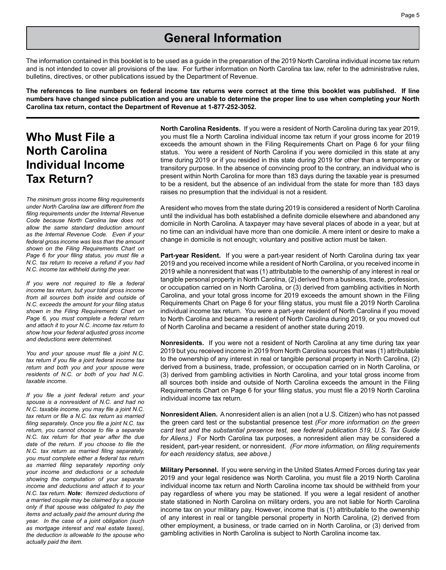## **General Information**

The information contained in this booklet is to be used as a guide in the preparation of the 2019 North Carolina individual income tax return and is not intended to cover all provisions of the law. For further information on North Carolina tax law, refer to the administrative rules, bulletins, directives, or other publications issued by the Department of Revenue.

**The references to line numbers on federal income tax returns were correct at the time this booklet was published. If line numbers have changed since publication and you are unable to determine the proper line to use when completing your North Carolina tax return, contact the Department of Revenue at 1-877-252-3052.**

## **Who Must File a North Carolina Individual Income Tax Return?**

*The minimum gross income filing requirements under North Carolina law are different from the filing requirements under the Internal Revenue Code because North Carolina law does not allow the same standard deduction amount as the Internal Revenue Code. Even if your federal gross income was less than the amount shown on the Filing Requirements Chart on Page 6 for your filing status, you must file a N.C. tax return to receive a refund if you had N.C. income tax withheld during the year.*

*If you were not required to file a federal income tax return, but your total gross income from all sources both inside and outside of N.C. exceeds the amount for your filing status shown in the Filing Requirements Chart on Page 6, you must complete a federal return and attach it to your N.C. income tax return to show how your federal adjusted gross income and deductions were determined.*

*You and your spouse must file a joint N.C. tax return if you file a joint federal income tax return and both you and your spouse were residents of N.C. or both of you had N.C. taxable income.*

*If you file a joint federal return and your spouse is a nonresident of N.C. and had no N.C. taxable income, you may file a joint N.C. tax return or file a N.C. tax return as married filing separately. Once you file a joint N.C. tax return, you cannot choose to file a separate N.C. tax return for that year after the due date of the return. If you choose to file the N.C. tax return as married filing separately, you must complete either a federal tax return as married filing separately reporting only your income and deductions or a schedule showing the computation of your separate income and deductions and attach it to your N.C. tax return. Note: Itemized deductions of a married couple may be claimed by a spouse only if that spouse was obligated to pay the items and actually paid the amount during the year. In the case of a joint obligation (such as mortgage interest and real estate taxes), the deduction is allowable to the spouse who actually paid the item.*

**North Carolina Residents.** If you were a resident of North Carolina during tax year 2019, you must file a North Carolina individual income tax return if your gross income for 2019 exceeds the amount shown in the Filing Requirements Chart on Page 6 for your filing status. You were a resident of North Carolina if you were domiciled in this state at any time during 2019 or if you resided in this state during 2019 for other than a temporary or transitory purpose. In the absence of convincing proof to the contrary, an individual who is present within North Carolina for more than 183 days during the taxable year is presumed to be a resident, but the absence of an individual from the state for more than 183 days raises no presumption that the individual is not a resident.

A resident who moves from the state during 2019 is considered a resident of North Carolina until the individual has both established a definite domicile elsewhere and abandoned any domicile in North Carolina. A taxpayer may have several places of abode in a year, but at no time can an individual have more than one domicile. A mere intent or desire to make a change in domicile is not enough; voluntary and positive action must be taken.

**Part-year Resident.** If you were a part-year resident of North Carolina during tax year 2019 and you received income while a resident of North Carolina, or you received income in 2019 while a nonresident that was (1) attributable to the ownership of any interest in real or tangible personal property in North Carolina, (2) derived from a business, trade, profession, or occupation carried on in North Carolina, or (3) derived from gambling activities in North Carolina, and your total gross income for 2019 exceeds the amount shown in the Filing Requirements Chart on Page 6 for your filing status, you must file a 2019 North Carolina individual income tax return. You were a part-year resident of North Carolina if you moved to North Carolina and became a resident of North Carolina during 2019, or you moved out of North Carolina and became a resident of another state during 2019.

**Nonresidents.** If you were not a resident of North Carolina at any time during tax year 2019 but you received income in 2019 from North Carolina sources that was (1) attributable to the ownership of any interest in real or tangible personal property in North Carolina, (2) derived from a business, trade, profession, or occupation carried on in North Carolina, or (3) derived from gambling activities in North Carolina, and your total gross income from all sources both inside and outside of North Carolina exceeds the amount in the Filing Requirements Chart on Page 6 for your filing status, you must file a 2019 North Carolina individual income tax return.

**Nonresident Alien.** A nonresident alien is an alien (not a U.S. Citizen) who has not passed the green card test or the substantial presence test *(For more information on the green card test and the substantial presence test, see federal publication 519, U.S. Tax Guide for Aliens.)* For North Carolina tax purposes, a nonresident alien may be considered a resident, part-year resident, or nonresident. *(For more information, on filing requirements for each residency status, see above.)* 

**Military Personnel.** If you were serving in the United States Armed Forces during tax year 2019 and your legal residence was North Carolina, you must file a 2019 North Carolina individual income tax return and North Carolina income tax should be withheld from your pay regardless of where you may be stationed. If you were a legal resident of another state stationed in North Carolina on military orders, you are not liable for North Carolina income tax on your military pay. However, income that is (1) attributable to the ownership of any interest in real or tangible personal property in North Carolina, (2) derived from other employment, a business, or trade carried on in North Carolina, or (3) derived from gambling activities in North Carolina is subject to North Carolina income tax.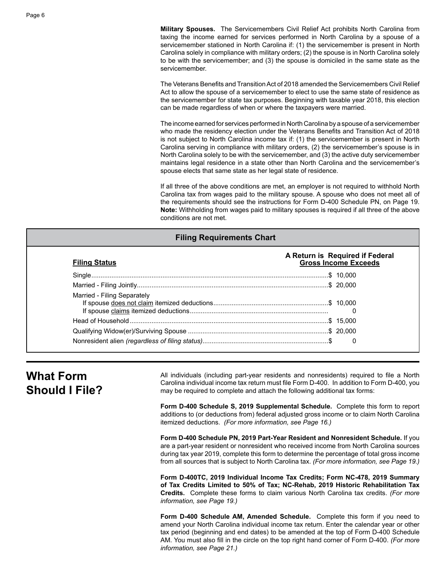**Military Spouses.** The Servicemembers Civil Relief Act prohibits North Carolina from taxing the income earned for services performed in North Carolina by a spouse of a servicemember stationed in North Carolina if: (1) the servicemember is present in North Carolina solely in compliance with military orders; (2) the spouse is in North Carolina solely to be with the servicemember; and (3) the spouse is domiciled in the same state as the servicemember.

The Veterans Benefits and Transition Act of 2018 amended the Servicemembers Civil Relief Act to allow the spouse of a servicemember to elect to use the same state of residence as the servicemember for state tax purposes. Beginning with taxable year 2018, this election can be made regardless of when or where the taxpayers were married.

The income earned for services performed in North Carolina by a spouse of a servicemember who made the residency election under the Veterans Benefits and Transition Act of 2018 is not subject to North Carolina income tax if: (1) the servicemember is present in North Carolina serving in compliance with military orders, (2) the servicemember's spouse is in North Carolina solely to be with the servicemember, and (3) the active duty servicemember maintains legal residence in a state other than North Carolina and the servicemember's spouse elects that same state as her legal state of residence.

If all three of the above conditions are met, an employer is not required to withhold North Carolina tax from wages paid to the military spouse. A spouse who does not meet all of the requirements should see the instructions for Form D-400 Schedule PN, on Page 19. **Note:** Withholding from wages paid to military spouses is required if all three of the above conditions are not met.

#### **Filing Requirements Chart**

| <b>Filing Status</b>        | A Return is Required if Federal<br><b>Gross Income Exceeds</b> |
|-----------------------------|----------------------------------------------------------------|
|                             |                                                                |
|                             |                                                                |
| Married - Filing Separately |                                                                |
|                             |                                                                |
|                             |                                                                |
|                             | 0                                                              |

## **What Form Should I File?**

All individuals (including part-year residents and nonresidents) required to file a North Carolina individual income tax return must file Form D-400. In addition to Form D-400, you may be required to complete and attach the following additional tax forms:

**Form D-400 Schedule S, 2019 Supplemental Schedule.** Complete this form to report additions to (or deductions from) federal adjusted gross income or to claim North Carolina itemized deductions. *(For more information, see Page 16.)*

**Form D-400 Schedule PN, 2019 Part-Year Resident and Nonresident Schedule.** If you are a part-year resident or nonresident who received income from North Carolina sources during tax year 2019, complete this form to determine the percentage of total gross income from all sources that is subject to North Carolina tax. *(For more information, see Page 19.)*

**Form D-400TC, 2019 Individual Income Tax Credits; Form NC-478, 2019 Summary of Tax Credits Limited to 50% of Tax; NC-Rehab, 2019 Historic Rehabilitation Tax Credits.** Complete these forms to claim various North Carolina tax credits. *(For more information, see Page 19.)*

**Form D-400 Schedule AM, Amended Schedule.** Complete this form if you need to amend your North Carolina individual income tax return. Enter the calendar year or other tax period (beginning and end dates) to be amended at the top of Form D-400 Schedule AM. You must also fill in the circle on the top right hand corner of Form D-400. *(For more information, see Page 21.)*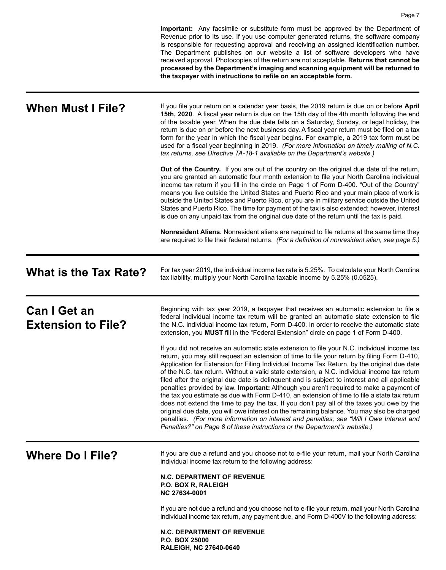|                                                  | Important: Any facsimile or substitute form must be approved by the Department of<br>Revenue prior to its use. If you use computer generated returns, the software company<br>is responsible for requesting approval and receiving an assigned identification number.<br>The Department publishes on our website a list of software developers who have<br>received approval. Photocopies of the return are not acceptable. Returns that cannot be<br>processed by the Department's imaging and scanning equipment will be returned to<br>the taxpayer with instructions to refile on an acceptable form.                                                                                                                                                                                                                                                                                                                                                                                                                                                  |
|--------------------------------------------------|------------------------------------------------------------------------------------------------------------------------------------------------------------------------------------------------------------------------------------------------------------------------------------------------------------------------------------------------------------------------------------------------------------------------------------------------------------------------------------------------------------------------------------------------------------------------------------------------------------------------------------------------------------------------------------------------------------------------------------------------------------------------------------------------------------------------------------------------------------------------------------------------------------------------------------------------------------------------------------------------------------------------------------------------------------|
| <b>When Must I File?</b>                         | If you file your return on a calendar year basis, the 2019 return is due on or before April<br>15th, 2020. A fiscal year return is due on the 15th day of the 4th month following the end<br>of the taxable year. When the due date falls on a Saturday, Sunday, or legal holiday, the<br>return is due on or before the next business day. A fiscal year return must be filed on a tax<br>form for the year in which the fiscal year begins. For example, a 2019 tax form must be<br>used for a fiscal year beginning in 2019. (For more information on timely mailing of N.C.<br>tax returns, see Directive TA-18-1 available on the Department's website.)                                                                                                                                                                                                                                                                                                                                                                                              |
|                                                  | <b>Out of the Country.</b> If you are out of the country on the original due date of the return,<br>you are granted an automatic four month extension to file your North Carolina individual<br>income tax return if you fill in the circle on Page 1 of Form D-400. "Out of the Country"<br>means you live outside the United States and Puerto Rico and your main place of work is<br>outside the United States and Puerto Rico, or you are in military service outside the United<br>States and Puerto Rico. The time for payment of the tax is also extended; however, interest<br>is due on any unpaid tax from the original due date of the return until the tax is paid.                                                                                                                                                                                                                                                                                                                                                                            |
|                                                  | Nonresident Aliens. Nonresident aliens are required to file returns at the same time they<br>are required to file their federal returns. (For a definition of nonresident alien, see page 5.)                                                                                                                                                                                                                                                                                                                                                                                                                                                                                                                                                                                                                                                                                                                                                                                                                                                              |
| <b>What is the Tax Rate?</b>                     | For tax year 2019, the individual income tax rate is 5.25%. To calculate your North Carolina<br>tax liability, multiply your North Carolina taxable income by 5.25% (0.0525).                                                                                                                                                                                                                                                                                                                                                                                                                                                                                                                                                                                                                                                                                                                                                                                                                                                                              |
| <b>Can I Get an</b><br><b>Extension to File?</b> | Beginning with tax year 2019, a taxpayer that receives an automatic extension to file a<br>federal individual income tax return will be granted an automatic state extension to file<br>the N.C. individual income tax return, Form D-400. In order to receive the automatic state<br>extension, you MUST fill in the "Federal Extension" circle on page 1 of Form D-400.                                                                                                                                                                                                                                                                                                                                                                                                                                                                                                                                                                                                                                                                                  |
|                                                  | If you did not receive an automatic state extension to file your N.C. individual income tax<br>return, you may still request an extension of time to file your return by filing Form D-410,<br>Application for Extension for Filing Individual Income Tax Return, by the original due date<br>of the N.C. tax return. Without a valid state extension, a N.C. individual income tax return<br>filed after the original due date is delinguent and is subject to interest and all applicable<br>penalties provided by law. Important: Although you aren't required to make a payment of<br>the tax you estimate as due with Form D-410, an extension of time to file a state tax return<br>does not extend the time to pay the tax. If you don't pay all of the taxes you owe by the<br>original due date, you will owe interest on the remaining balance. You may also be charged<br>penalties. (For more information on interest and penalties, see "Will I Owe Interest and<br>Penalties?" on Page 8 of these instructions or the Department's website.) |
| <b>Where Do I File?</b>                          | If you are due a refund and you choose not to e-file your return, mail your North Carolina<br>individual income tax return to the following address:                                                                                                                                                                                                                                                                                                                                                                                                                                                                                                                                                                                                                                                                                                                                                                                                                                                                                                       |
|                                                  | <b>N.C. DEPARTMENT OF REVENUE</b><br>P.O. BOX R, RALEIGH<br>NC 27634-0001                                                                                                                                                                                                                                                                                                                                                                                                                                                                                                                                                                                                                                                                                                                                                                                                                                                                                                                                                                                  |
|                                                  | If you are not due a refund and you choose not to e-file your return, mail your North Carolina<br>individual income tax return, any payment due, and Form D-400V to the following address:                                                                                                                                                                                                                                                                                                                                                                                                                                                                                                                                                                                                                                                                                                                                                                                                                                                                 |
|                                                  | <b>N.C. DEPARTMENT OF REVENUE</b><br>P.O. BOX 25000<br>RALEIGH, NC 27640-0640                                                                                                                                                                                                                                                                                                                                                                                                                                                                                                                                                                                                                                                                                                                                                                                                                                                                                                                                                                              |

Page 7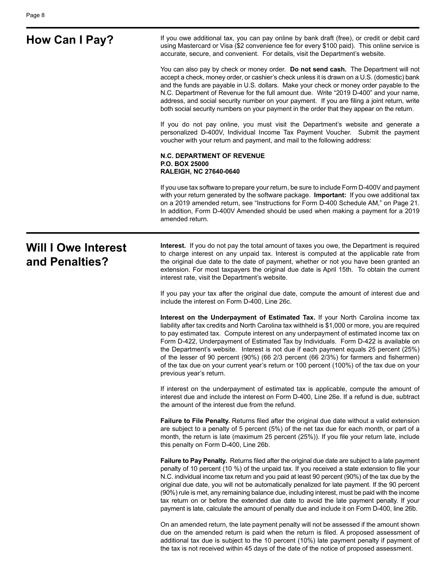**How Can I Pay?** If you owe additional tax, you can pay online by bank draft (free), or credit or debit card using Mastercard or Visa (\$2 convenience fee for every \$100 paid). This online service is accurate, secure, and convenient. For details, visit the Department's website.

> You can also pay by check or money order. **Do not send cash.** The Department will not accept a check, money order, or cashier's check unless it is drawn on a U.S. (domestic) bank and the funds are payable in U.S. dollars. Make your check or money order payable to the N.C. Department of Revenue for the full amount due. Write "2019 D-400" and your name, address, and social security number on your payment. If you are filing a joint return, write both social security numbers on your payment in the order that they appear on the return.

> If you do not pay online, you must visit the Department's website and generate a personalized D-400V, Individual Income Tax Payment Voucher. Submit the payment voucher with your return and payment, and mail to the following address:

#### **N.C. DEPARTMENT OF REVENUE P.O. BOX 25000 RALEIGH, NC 27640-0640**

If you use tax software to prepare your return, be sure to include Form D-400V and payment with your return generated by the software package. **Important:** If you owe additional tax on a 2019 amended return, see "Instructions for Form D-400 Schedule AM," on Page 21. In addition, Form D-400V Amended should be used when making a payment for a 2019 amended return.

## **Will I Owe Interest and Penalties?**

**Interest.** If you do not pay the total amount of taxes you owe, the Department is required to charge interest on any unpaid tax. Interest is computed at the applicable rate from the original due date to the date of payment, whether or not you have been granted an extension. For most taxpayers the original due date is April 15th. To obtain the current interest rate, visit the Department's website.

If you pay your tax after the original due date, compute the amount of interest due and include the interest on Form D-400, Line 26c.

**Interest on the Underpayment of Estimated Tax.** If your North Carolina income tax liability after tax credits and North Carolina tax withheld is \$1,000 or more, you are required to pay estimated tax. Compute interest on any underpayment of estimated income tax on Form D-422, Underpayment of Estimated Tax by Individuals. Form D-422 is available on the Department's website. Interest is not due if each payment equals 25 percent (25%) of the lesser of 90 percent (90%) (66 2/3 percent (66 2/3%) for farmers and fishermen) of the tax due on your current year's return or 100 percent (100%) of the tax due on your previous year's return.

If interest on the underpayment of estimated tax is applicable, compute the amount of interest due and include the interest on Form D-400, Line 26e. If a refund is due, subtract the amount of the interest due from the refund.

**Failure to File Penalty.** Returns filed after the original due date without a valid extension are subject to a penalty of 5 percent (5%) of the net tax due for each month, or part of a month, the return is late (maximum 25 percent (25%)). If you file your return late, include this penalty on Form D-400, Line 26b.

**Failure to Pay Penalty.** Returns filed after the original due date are subject to a late payment penalty of 10 percent (10 %) of the unpaid tax. If you received a state extension to file your N.C. individual income tax return and you paid at least 90 percent (90%) of the tax due by the original due date, you will not be automatically penalized for late payment. If the 90 percent (90%) rule is met, any remaining balance due, including interest, must be paid with the income tax return on or before the extended due date to avoid the late payment penalty. If your payment is late, calculate the amount of penalty due and include it on Form D-400, line 26b.

On an amended return, the late payment penalty will not be assessed if the amount shown due on the amended return is paid when the return is filed. A proposed assessment of additional tax due is subject to the 10 percent (10%) late payment penalty if payment of the tax is not received within 45 days of the date of the notice of proposed assessment.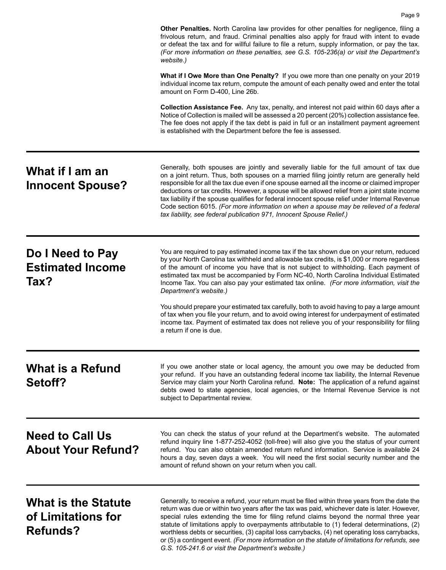|                                                                     | <b>Other Penalties.</b> North Carolina law provides for other penalties for negligence, filing a<br>frivolous return, and fraud. Criminal penalties also apply for fraud with intent to evade<br>or defeat the tax and for willful failure to file a return, supply information, or pay the tax.<br>(For more information on these penalties, see G.S. 105-236(a) or visit the Department's<br>website.)                                                                                                                                                                                                                                                     |
|---------------------------------------------------------------------|--------------------------------------------------------------------------------------------------------------------------------------------------------------------------------------------------------------------------------------------------------------------------------------------------------------------------------------------------------------------------------------------------------------------------------------------------------------------------------------------------------------------------------------------------------------------------------------------------------------------------------------------------------------|
|                                                                     | What if I Owe More than One Penalty? If you owe more than one penalty on your 2019<br>individual income tax return, compute the amount of each penalty owed and enter the total<br>amount on Form D-400, Line 26b.                                                                                                                                                                                                                                                                                                                                                                                                                                           |
|                                                                     | Collection Assistance Fee. Any tax, penalty, and interest not paid within 60 days after a<br>Notice of Collection is mailed will be assessed a 20 percent (20%) collection assistance fee.<br>The fee does not apply if the tax debt is paid in full or an installment payment agreement<br>is established with the Department before the fee is assessed.                                                                                                                                                                                                                                                                                                   |
| What if I am an<br><b>Innocent Spouse?</b>                          | Generally, both spouses are jointly and severally liable for the full amount of tax due<br>on a joint return. Thus, both spouses on a married filing jointly return are generally held<br>responsible for all the tax due even if one spouse earned all the income or claimed improper<br>deductions or tax credits. However, a spouse will be allowed relief from a joint state income<br>tax liability if the spouse qualifies for federal innocent spouse relief under Internal Revenue<br>Code section 6015. (For more information on when a spouse may be relieved of a federal<br>tax liability, see federal publication 971, Innocent Spouse Relief.) |
| Do I Need to Pay<br><b>Estimated Income</b><br>Tax?                 | You are required to pay estimated income tax if the tax shown due on your return, reduced<br>by your North Carolina tax withheld and allowable tax credits, is \$1,000 or more regardless<br>of the amount of income you have that is not subject to withholding. Each payment of<br>estimated tax must be accompanied by Form NC-40, North Carolina Individual Estimated<br>Income Tax. You can also pay your estimated tax online. (For more information, visit the<br>Department's website.)                                                                                                                                                              |
|                                                                     | You should prepare your estimated tax carefully, both to avoid having to pay a large amount<br>of tax when you file your return, and to avoid owing interest for underpayment of estimated<br>income tax. Payment of estimated tax does not relieve you of your responsibility for filing<br>a return if one is due.                                                                                                                                                                                                                                                                                                                                         |
| <b>What is a Refund</b><br>Setoff?                                  | If you owe another state or local agency, the amount you owe may be deducted from<br>your refund. If you have an outstanding federal income tax liability, the Internal Revenue<br>Service may claim your North Carolina refund. Note: The application of a refund against<br>debts owed to state agencies, local agencies, or the Internal Revenue Service is not<br>subject to Departmental review.                                                                                                                                                                                                                                                        |
| <b>Need to Call Us</b><br><b>About Your Refund?</b>                 | You can check the status of your refund at the Department's website. The automated<br>refund inquiry line 1-877-252-4052 (toll-free) will also give you the status of your current<br>refund. You can also obtain amended return refund information. Service is available 24<br>hours a day, seven days a week. You will need the first social security number and the<br>amount of refund shown on your return when you call.                                                                                                                                                                                                                               |
| <b>What is the Statute</b><br>of Limitations for<br><b>Refunds?</b> | Generally, to receive a refund, your return must be filed within three years from the date the<br>return was due or within two years after the tax was paid, whichever date is later. However,<br>special rules extending the time for filing refund claims beyond the normal three year<br>statute of limitations apply to overpayments attributable to (1) federal determinations, (2)<br>worthless debts or securities, (3) capital loss carrybacks, (4) net operating loss carrybacks,<br>or (5) a contingent event. (For more information on the statute of limitations for refunds, see<br>G.S. 105-241.6 or visit the Department's website.)          |

Page 9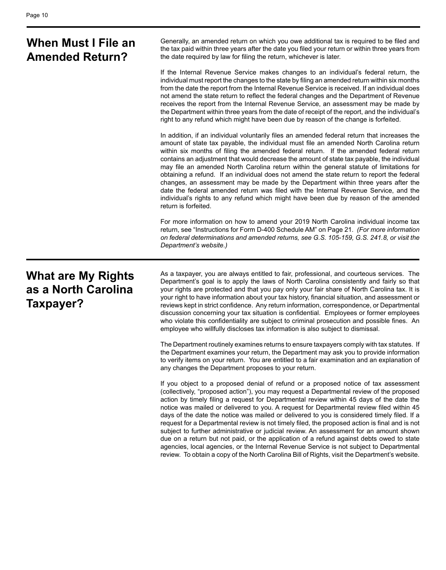| When Must I File an<br><b>Amended Return?</b>    | Generally, an amended return on which you owe additional tax is required to be filed and<br>the tax paid within three years after the date you filed your return or within three years from<br>the date required by law for filing the return, whichever is later.                                                                                                                                                                                                                                                                                                                                                                                                                                                                                                                                                                                                  |
|--------------------------------------------------|---------------------------------------------------------------------------------------------------------------------------------------------------------------------------------------------------------------------------------------------------------------------------------------------------------------------------------------------------------------------------------------------------------------------------------------------------------------------------------------------------------------------------------------------------------------------------------------------------------------------------------------------------------------------------------------------------------------------------------------------------------------------------------------------------------------------------------------------------------------------|
|                                                  | If the Internal Revenue Service makes changes to an individual's federal return, the<br>individual must report the changes to the state by filing an amended return within six months<br>from the date the report from the Internal Revenue Service is received. If an individual does<br>not amend the state return to reflect the federal changes and the Department of Revenue<br>receives the report from the Internal Revenue Service, an assessment may be made by<br>the Department within three years from the date of receipt of the report, and the individual's<br>right to any refund which might have been due by reason of the change is forfeited.                                                                                                                                                                                                   |
|                                                  | In addition, if an individual voluntarily files an amended federal return that increases the<br>amount of state tax payable, the individual must file an amended North Carolina return<br>within six months of filing the amended federal return. If the amended federal return<br>contains an adjustment that would decrease the amount of state tax payable, the individual<br>may file an amended North Carolina return within the general statute of limitations for<br>obtaining a refund. If an individual does not amend the state return to report the federal<br>changes, an assessment may be made by the Department within three years after the<br>date the federal amended return was filed with the Internal Revenue Service, and the<br>individual's rights to any refund which might have been due by reason of the amended<br>return is forfeited. |
|                                                  | For more information on how to amend your 2019 North Carolina individual income tax<br>return, see "Instructions for Form D-400 Schedule AM" on Page 21. (For more information<br>on federal determinations and amended returns, see G.S. 105-159, G.S. 241.8, or visit the<br>Department's website.)                                                                                                                                                                                                                                                                                                                                                                                                                                                                                                                                                               |
| <b>What are My Rights</b><br>as a North Carolina | As a taxpayer, you are always entitled to fair, professional, and courteous services. The<br>Department's goal is to apply the laws of North Carolina consistently and fairly so that<br>your rights are protected and that you pay only your fair share of North Carolina tax. It is<br>suu siakkka kausinfassaatian akaukusuu tau kistonu finanajal aitustian janalaannannan                                                                                                                                                                                                                                                                                                                                                                                                                                                                                      |

**Taxpayer?**

your right to have information about your tax history, financial situation, and assessment or reviews kept in strict confidence. Any return information, correspondence, or Departmental discussion concerning your tax situation is confidential. Employees or former employees who violate this confidentiality are subject to criminal prosecution and possible fines. An employee who willfully discloses tax information is also subject to dismissal.

The Department routinely examines returns to ensure taxpayers comply with tax statutes. If the Department examines your return, the Department may ask you to provide information to verify items on your return. You are entitled to a fair examination and an explanation of any changes the Department proposes to your return.

If you object to a proposed denial of refund or a proposed notice of tax assessment (collectively, "proposed action"), you may request a Departmental review of the proposed action by timely filing a request for Departmental review within 45 days of the date the notice was mailed or delivered to you. A request for Departmental review filed within 45 days of the date the notice was mailed or delivered to you is considered timely filed. If a request for a Departmental review is not timely filed, the proposed action is final and is not subject to further administrative or judicial review. An assessment for an amount shown due on a return but not paid, or the application of a refund against debts owed to state agencies, local agencies, or the Internal Revenue Service is not subject to Departmental review. To obtain a copy of the North Carolina Bill of Rights, visit the Department's website.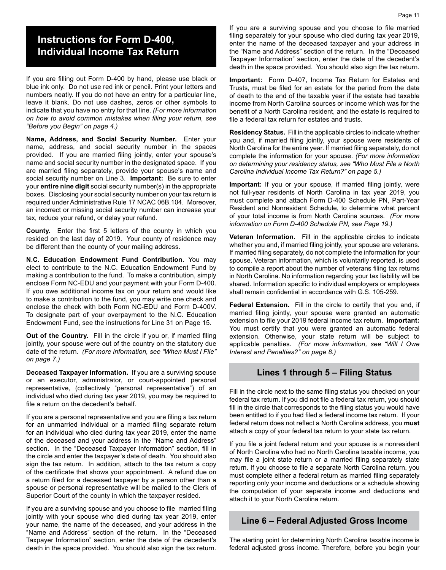## **Instructions for Form D-400, Individual Income Tax Return**

If you are filling out Form D-400 by hand, please use black or blue ink only. Do not use red ink or pencil. Print your letters and numbers neatly. If you do not have an entry for a particular line, leave it blank. Do not use dashes, zeros or other symbols to indicate that you have no entry for that line. *(For more information on how to avoid common mistakes when filing your return, see "Before you Begin" on page 4.)*

**Name, Address, and Social Security Number.** Enter your name, address, and social security number in the spaces provided. If you are married filing jointly, enter your spouse's name and social security number in the designated space. If you are married filing separately, provide your spouse's name and social security number on Line 3. **Important:** Be sure to enter your **entire nine digit** social security number(s) in the appropriate boxes. Disclosing your social security number on your tax return is required under Administrative Rule 17 NCAC 06B.104. Moreover, an incorrect or missing social security number can increase your tax, reduce your refund, or delay your refund.

**County.** Enter the first 5 letters of the county in which you resided on the last day of 2019. Your county of residence may be different than the county of your mailing address.

**N.C. Education Endowment Fund Contribution.** You may elect to contribute to the N.C. Education Endowment Fund by making a contribution to the fund. To make a contribution, simply enclose Form NC-EDU and your payment with your Form D-400. If you owe additional income tax on your return and would like to make a contribution to the fund, you may write one check and enclose the check with both Form NC-EDU and Form D-400V. To designate part of your overpayment to the N.C. Education Endowment Fund, see the instructions for Line 31 on Page 15.

**Out of the Country.** Fill in the circle if you or, if married filing jointly, your spouse were out of the country on the statutory due date of the return. *(For more information, see "When Must I File" on page 7.)*

**Deceased Taxpayer Information.** If you are a surviving spouse or an executor, administrator, or court-appointed personal representative, (collectively "personal representative") of an individual who died during tax year 2019, you may be required to file a return on the decedent's behalf.

If you are a personal representative and you are filing a tax return for an unmarried individual or a married filing separate return for an individual who died during tax year 2019, enter the name of the deceased and your address in the "Name and Address" section. In the "Deceased Taxpayer Information" section, fill in the circle and enter the taxpayer's date of death. You should also sign the tax return. In addition, attach to the tax return a copy of the certificate that shows your appointment. A refund due on a return filed for a deceased taxpayer by a person other than a spouse or personal representative will be mailed to the Clerk of Superior Court of the county in which the taxpayer resided.

If you are a surviving spouse and you choose to file married filing jointly with your spouse who died during tax year 2019, enter your name, the name of the deceased, and your address in the "Name and Address" section of the return. In the "Deceased Taxpayer Information" section, enter the date of the decedent's death in the space provided. You should also sign the tax return.

If you are a surviving spouse and you choose to file married filing separately for your spouse who died during tax year 2019, enter the name of the deceased taxpayer and your address in the "Name and Address" section of the return. In the "Deceased Taxpayer Information" section, enter the date of the decedent's death in the space provided. You should also sign the tax return.

**Important:** Form D-407, Income Tax Return for Estates and Trusts, must be filed for an estate for the period from the date of death to the end of the taxable year if the estate had taxable income from North Carolina sources or income which was for the benefit of a North Carolina resident, and the estate is required to file a federal tax return for estates and trusts.

**Residency Status.** Fill in the applicable circles to indicate whether you and, if married filing jointly, your spouse were residents of North Carolina for the entire year. If married filing separately, do not complete the information for your spouse. *(For more information on determining your residency status, see "Who Must File a North Carolina Individual Income Tax Return?" on page 5.)*

**Important:** If you or your spouse, if married filing jointly, were not full-year residents of North Carolina in tax year 2019, you must complete and attach Form D-400 Schedule PN, Part-Year Resident and Nonresident Schedule, to determine what percent of your total income is from North Carolina sources. *(For more information on Form D-400 Schedule PN, see Page 19.)*

**Veteran Information.** Fill in the applicable circles to indicate whether you and, if married filing jointly, your spouse are veterans. If married filing separately, do not complete the information for your spouse. Veteran information, which is voluntarily reported, is used to compile a report about the number of veterans filing tax returns in North Carolina. No information regarding your tax liability will be shared. Information specific to individual employers or employees shall remain confidential in accordance with G.S. 105-259.

**Federal Extension.** Fill in the circle to certify that you and, if married filing jointly, your spouse were granted an automatic extension to file your 2019 federal income tax return. **Important:** You must certify that you were granted an automatic federal extension. Otherwise, your state return will be subject to applicable penalties. *(For more information, see "Will I Owe Interest and Penalties?" on page 8.)*

#### **Lines 1 through 5 – Filing Status**

Fill in the circle next to the same filing status you checked on your federal tax return. If you did not file a federal tax return, you should fill in the circle that corresponds to the filing status you would have been entitled to if you had filed a federal income tax return. If your federal return does not reflect a North Carolina address, you **must** attach a copy of your federal tax return to your state tax return.

If you file a joint federal return and your spouse is a nonresident of North Carolina who had no North Carolina taxable income, you may file a joint state return or a married filing separately state return. If you choose to file a separate North Carolina return, you must complete either a federal return as married filing separately reporting only your income and deductions or a schedule showing the computation of your separate income and deductions and attach it to your North Carolina return.

#### **Line 6 – Federal Adjusted Gross Income**

The starting point for determining North Carolina taxable income is federal adjusted gross income. Therefore, before you begin your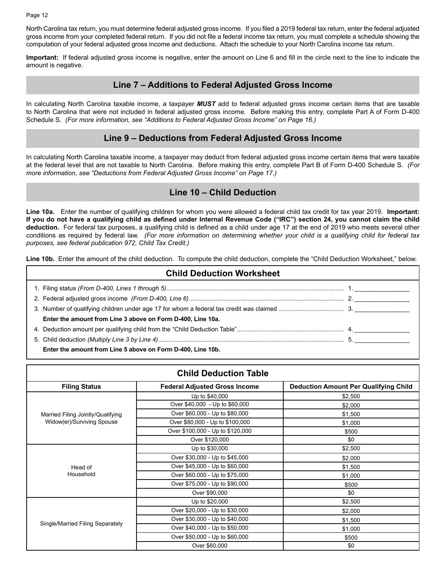Page 12

North Carolina tax return, you must determine federal adjusted gross income. If you filed a 2019 federal tax return, enter the federal adjusted gross income from your completed federal return. If you did not file a federal income tax return, you must complete a schedule showing the computation of your federal adjusted gross income and deductions. Attach the schedule to your North Carolina income tax return.

**Important:** If federal adjusted gross income is negative, enter the amount on Line 6 and fill in the circle next to the line to indicate the amount is negative.

#### **Line 7 – Additions to Federal Adjusted Gross Income**

In calculating North Carolina taxable income, a taxpayer *MUST* add to federal adjusted gross income certain items that are taxable to North Carolina that were not included in federal adjusted gross income. Before making this entry, complete Part A of Form D-400 Schedule S. *(For more information, see "Additions to Federal Adjusted Gross Income" on Page 16.)* 

#### **Line 9 – Deductions from Federal Adjusted Gross Income**

In calculating North Carolina taxable income, a taxpayer may deduct from federal adjusted gross income certain items that were taxable at the federal level that are not taxable to North Carolina. Before making this entry, complete Part B of Form D-400 Schedule S. *(For more information, see "Deductions from Federal Adjusted Gross Income" on Page 17.)* 

#### **Line 10 – Child Deduction**

**Line 10a.** Enter the number of qualifying children for whom you were allowed a federal child tax credit for tax year 2019. **Important: If you do not have a qualifying child as defined under Internal Revenue Code ("IRC") section 24, you cannot claim the child deduction.** For federal tax purposes, a qualifying child is defined as a child under age 17 at the end of 2019 who meets several other conditions as required by federal law. *(For more information on determining whether your child is a qualifying child for federal tax purposes, see federal publication 972, Child Tax Credit.)*

Line 10b. Enter the amount of the child deduction. To compute the child deduction, complete the "Child Deduction Worksheet," below.

| <b>Child Deduction Worksheet</b>                            |  |  |  |  |  |
|-------------------------------------------------------------|--|--|--|--|--|
|                                                             |  |  |  |  |  |
|                                                             |  |  |  |  |  |
|                                                             |  |  |  |  |  |
| Enter the amount from Line 3 above on Form D-400, Line 10a. |  |  |  |  |  |
|                                                             |  |  |  |  |  |
|                                                             |  |  |  |  |  |
| Enter the amount from Line 5 above on Form D-400, Line 10b. |  |  |  |  |  |

| <b>Child Deduction Table</b>      |                                      |                                              |  |  |  |  |  |
|-----------------------------------|--------------------------------------|----------------------------------------------|--|--|--|--|--|
| <b>Filing Status</b>              | <b>Federal Adjusted Gross Income</b> | <b>Deduction Amount Per Qualifying Child</b> |  |  |  |  |  |
|                                   | Up to \$40,000                       | \$2,500                                      |  |  |  |  |  |
|                                   | Over \$40,000 - Up to \$60,000       | \$2,000                                      |  |  |  |  |  |
| Married Filing Jointly/Qualifying | Over \$60,000 - Up to \$80,000       | \$1,500                                      |  |  |  |  |  |
| Widow(er)/Surviving Spouse        | Over \$80,000 - Up to \$100,000      | \$1,000                                      |  |  |  |  |  |
|                                   | Over \$100,000 - Up to \$120,000     | \$500                                        |  |  |  |  |  |
|                                   | Over \$120,000                       | \$0                                          |  |  |  |  |  |
|                                   | Up to \$30,000                       | \$2,500                                      |  |  |  |  |  |
|                                   | Over \$30,000 - Up to \$45,000       | \$2,000                                      |  |  |  |  |  |
| Head of                           | Over \$45,000 - Up to \$60,000       | \$1,500                                      |  |  |  |  |  |
| Household                         | Over \$60,000 - Up to \$75,000       | \$1,000                                      |  |  |  |  |  |
|                                   | Over \$75,000 - Up to \$90,000       | \$500                                        |  |  |  |  |  |
|                                   | Over \$90,000                        | \$0                                          |  |  |  |  |  |
|                                   | Up to \$20,000                       | \$2,500                                      |  |  |  |  |  |
|                                   | Over \$20,000 - Up to \$30,000       | \$2,000                                      |  |  |  |  |  |
|                                   | Over \$30,000 - Up to \$40,000       | \$1,500                                      |  |  |  |  |  |
| Single/Married Filing Separately  | Over \$40,000 - Up to \$50,000       | \$1,000                                      |  |  |  |  |  |
|                                   | Over \$50,000 - Up to \$60,000       | \$500                                        |  |  |  |  |  |
|                                   | Over \$60,000                        | \$0                                          |  |  |  |  |  |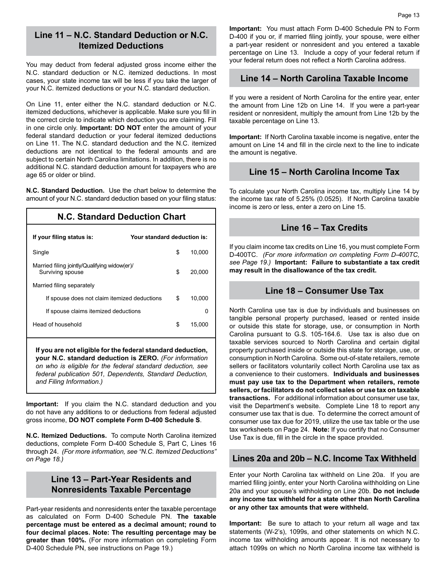#### **Line 11 – N.C. Standard Deduction or N.C. Itemized Deductions**

You may deduct from federal adjusted gross income either the N.C. standard deduction or N.C. itemized deductions. In most cases, your state income tax will be less if you take the larger of your N.C. itemized deductions or your N.C. standard deduction.

On Line 11, enter either the N.C. standard deduction or N.C. itemized deductions, whichever is applicable. Make sure you fill in the correct circle to indicate which deduction you are claiming. Fill in one circle only. **Important: DO NOT** enter the amount of your federal standard deduction or your federal itemized deductions on Line 11. The N.C. standard deduction and the N.C. itemized deductions are not identical to the federal amounts and are subject to certain North Carolina limitations. In addition, there is no additional N.C. standard deduction amount for taxpayers who are age 65 or older or blind.

**N.C. Standard Deduction.** Use the chart below to determine the amount of your N.C. standard deduction based on your filing status:

#### **N.C. Standard Deduction Chart**

| If your filing status is:                                        | Your standard deduction is: |        |
|------------------------------------------------------------------|-----------------------------|--------|
| Single                                                           | \$                          | 10.000 |
| Married filing jointly/Qualifying widow(er)/<br>Surviving spouse | \$                          | 20,000 |
| Married filing separately                                        |                             |        |
| If spouse does not claim itemized deductions                     | \$                          | 10.000 |
| If spouse claims itemized deductions                             |                             | 0      |
| Head of household                                                | S.                          | 15.000 |

**If you are not eligible for the federal standard deduction, your N.C. standard deduction is ZERO.** *(For information on who is eligible for the federal standard deduction, see federal publication 501, Dependents, Standard Deduction, and Filing Information.)* 

**Important:** If you claim the N.C. standard deduction and you do not have any additions to or deductions from federal adjusted gross income, **DO NOT complete Form D-400 Schedule S**.

**N.C. Itemized Deductions.** To compute North Carolina itemized deductions, complete Form D-400 Schedule S, Part C, Lines 16 through 24. *(For more information, see "N.C. Itemized Deductions" on Page 18.)*

#### **Line 13 – Part-Year Residents and Nonresidents Taxable Percentage**

Part-year residents and nonresidents enter the taxable percentage as calculated on Form D-400 Schedule PN. **The taxable percentage must be entered as a decimal amount; round to four decimal places. Note: The resulting percentage may be greater than 100%.** (For more information on completing Form D-400 Schedule PN, see instructions on Page 19.)

**Important:** You must attach Form D-400 Schedule PN to Form D-400 if you or, if married filing jointly, your spouse, were either a part-year resident or nonresident and you entered a taxable percentage on Line 13. Include a copy of your federal return if your federal return does not reflect a North Carolina address.

#### **Line 14 – North Carolina Taxable Income**

If you were a resident of North Carolina for the entire year, enter the amount from Line 12b on Line 14. If you were a part-year resident or nonresident, multiply the amount from Line 12b by the taxable percentage on Line 13.

**Important:** If North Carolina taxable income is negative, enter the amount on Line 14 and fill in the circle next to the line to indicate the amount is negative.

#### **Line 15 – North Carolina Income Tax**

To calculate your North Carolina income tax, multiply Line 14 by the income tax rate of 5.25% (0.0525). If North Carolina taxable income is zero or less, enter a zero on Line 15.

#### **Line 16 – Tax Credits**

If you claim income tax credits on Line 16, you must complete Form D-400TC. *(For more information on completing Form D-400TC, see Page 19.)* **Important: Failure to substantiate a tax credit may result in the disallowance of the tax credit.**

#### **Line 18 – Consumer Use Tax**

North Carolina use tax is due by individuals and businesses on tangible personal property purchased, leased or rented inside or outside this state for storage, use, or consumption in North Carolina pursuant to G.S. 105-164.6. Use tax is also due on taxable services sourced to North Carolina and certain digital property purchased inside or outside this state for storage, use, or consumption in North Carolina. Some out-of-state retailers, remote sellers or facilitators voluntarily collect North Carolina use tax as a convenience to their customers. **Individuals and businesses must pay use tax to the Department when retailers, remote sellers, or facilitators do not collect sales or use tax on taxable transactions.** For additional information about consumer use tax, visit the Department's website. Complete Line 18 to report any consumer use tax that is due. To determine the correct amount of consumer use tax due for 2019, utilize the use tax table or the use tax worksheets on Page 24. **Note:** If you certify that no Consumer Use Tax is due, fill in the circle in the space provided.

#### **Lines 20a and 20b – N.C. Income Tax Withheld**

Enter your North Carolina tax withheld on Line 20a. If you are married filing jointly, enter your North Carolina withholding on Line 20a and your spouse's withholding on Line 20b. **Do not include any income tax withheld for a state other than North Carolina or any other tax amounts that were withheld.**

**Important:** Be sure to attach to your return all wage and tax statements (W-2's), 1099s, and other statements on which N.C. income tax withholding amounts appear. It is not necessary to attach 1099s on which no North Carolina income tax withheld is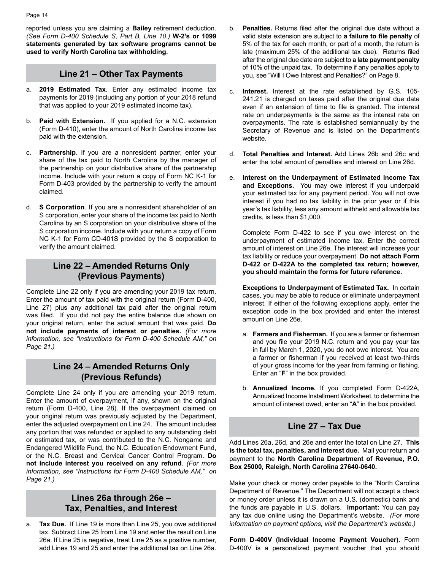reported unless you are claiming a **Bailey** retirement deduction. *(See Form D-400 Schedule S, Part B, Line 10.)* **W-2's or 1099 statements generated by tax software programs cannot be used to verify North Carolina tax withholding.**

#### **Line 21 – Other Tax Payments**

- a. **2019 Estimated Tax**. Enter any estimated income tax payments for 2019 (including any portion of your 2018 refund that was applied to your 2019 estimated income tax).
- **Paid with Extension.** If you applied for a N.C. extension (Form D-410), enter the amount of North Carolina income tax paid with the extension.
- c. **Partnership**. If you are a nonresident partner, enter your share of the tax paid to North Carolina by the manager of the partnership on your distributive share of the partnership income. Include with your return a copy of Form NC K-1 for Form D-403 provided by the partnership to verify the amount claimed.
- d. **S Corporation**. If you are a nonresident shareholder of an S corporation, enter your share of the income tax paid to North Carolina by an S corporation on your distributive share of the S corporation income. Include with your return a copy of Form NC K-1 for Form CD-401S provided by the S corporation to verify the amount claimed.

#### **Line 22 – Amended Returns Only (Previous Payments)**

Complete Line 22 only if you are amending your 2019 tax return. Enter the amount of tax paid with the original return (Form D-400, Line 27) plus any additional tax paid after the original return was filed. If you did not pay the entire balance due shown on your original return, enter the actual amount that was paid. **Do not include payments of interest or penalties.** *(For more information, see "Instructions for Form D-400 Schedule AM," on Page 21.)* 

#### **Line 24 – Amended Returns Only (Previous Refunds)**

Complete Line 24 only if you are amending your 2019 return. Enter the amount of overpayment, if any, shown on the original return (Form D-400, Line 28). If the overpayment claimed on your original return was previously adjusted by the Department, enter the adjusted overpayment on Line 24. The amount includes any portion that was refunded or applied to any outstanding debt or estimated tax, or was contributed to the N.C. Nongame and Endangered Wildlife Fund, the N.C. Education Endowment Fund, or the N.C. Breast and Cervical Cancer Control Program. **Do not include interest you received on any refund**. *(For more information, see "Instructions for Form D-400 Schedule AM," on Page 21.)* 

### **Lines 26a through 26e – Tax, Penalties, and Interest**

a. **Tax Due.** If Line 19 is more than Line 25, you owe additional tax. Subtract Line 25 from Line 19 and enter the result on Line 26a. If Line 25 is negative, treat Line 25 as a positive number, add Lines 19 and 25 and enter the additional tax on Line 26a.

- **Penalties.** Returns filed after the original due date without a valid state extension are subject to **a failure to file penalty** of 5% of the tax for each month, or part of a month, the return is late (maximum 25% of the additional tax due). Returns filed after the original due date are subject to **a late payment penalty** of 10% of the unpaid tax. To determine if any penalties apply to you, see "Will I Owe Interest and Penalties?" on Page 8.
- c. **Interest.** Interest at the rate established by G.S. 105- 241.21 is charged on taxes paid after the original due date even if an extension of time to file is granted. The interest rate on underpayments is the same as the interest rate on overpayments. The rate is established semiannually by the Secretary of Revenue and is listed on the Department's website.
- d. **Total Penalties and Interest.** Add Lines 26b and 26c and enter the total amount of penalties and interest on Line 26d.
- e. **Interest on the Underpayment of Estimated Income Tax and Exceptions.** You may owe interest if you underpaid your estimated tax for any payment period. You will not owe interest if you had no tax liability in the prior year or if this year's tax liability, less any amount withheld and allowable tax credits, is less than \$1,000.

Complete Form D-422 to see if you owe interest on the underpayment of estimated income tax. Enter the correct amount of interest on Line 26e. The interest will increase your tax liability or reduce your overpayment. **Do not attach Form D-422 or D-422A to the completed tax return; however, you should maintain the forms for future reference.** 

**Exceptions to Underpayment of Estimated Tax.** In certain cases, you may be able to reduce or eliminate underpayment interest. If either of the following exceptions apply, enter the exception code in the box provided and enter the interest amount on Line 26e.

- a. **Farmers and Fisherman.** If you are a farmer or fisherman and you file your 2019 N.C. return and you pay your tax in full by March 1, 2020, you do not owe interest. You are a farmer or fisherman if you received at least two-thirds of your gross income for the year from farming or fishing. Enter an "**F**" in the box provided.
- b. **Annualized Income.** If you completed Form D-422A, Annualized Income Installment Worksheet, to determine the amount of interest owed, enter an "**A**" in the box provided.

#### **Line 27 – Tax Due**

Add Lines 26a, 26d, and 26e and enter the total on Line 27. **This is the total tax, penalties, and interest due.** Mail your return and payment to the **North Carolina Department of Revenue, P.O. Box 25000, Raleigh, North Carolina 27640-0640.**

Make your check or money order payable to the "North Carolina Department of Revenue." The Department will not accept a check or money order unless it is drawn on a U.S. (domestic) bank and the funds are payable in U.S. dollars. **Important:** You can pay any tax due online using the Department's website. *(For more information on payment options, visit the Department's website.)*

**Form D-400V (Individual Income Payment Voucher).** Form D-400V is a personalized payment voucher that you should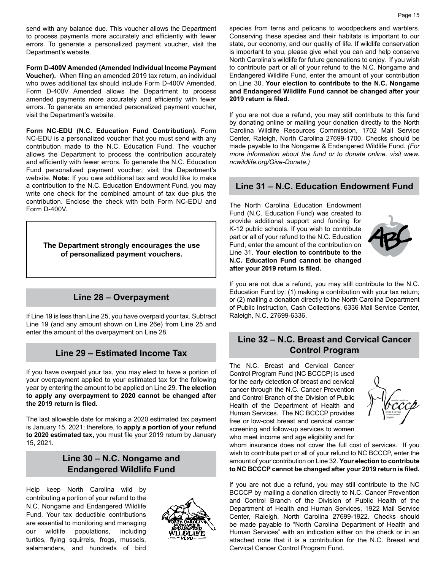send with any balance due. This voucher allows the Department to process payments more accurately and efficiently with fewer errors. To generate a personalized payment voucher, visit the Department's website.

**Form D-400V Amended (Amended Individual Income Payment Voucher).** When filing an amended 2019 tax return, an individual who owes additional tax should include Form D-400V Amended. Form D-400V Amended allows the Department to process amended payments more accurately and efficiently with fewer errors. To generate an amended personalized payment voucher, visit the Department's website.

**Form NC-EDU (N.C. Education Fund Contribution).** Form NC-EDU is a personalized voucher that you must send with any contribution made to the N.C. Education Fund. The voucher allows the Department to process the contribution accurately and efficiently with fewer errors. To generate the N.C. Education Fund personalized payment voucher, visit the Department's website. **Note:** If you owe additional tax and would like to make a contribution to the N.C. Education Endowment Fund, you may write one check for the combined amount of tax due plus the contribution. Enclose the check with both Form NC-EDU and Form D-400V.

**The Department strongly encourages the use of personalized payment vouchers.**

#### **Line 28 – Overpayment**

If Line 19 is less than Line 25, you have overpaid your tax. Subtract Line 19 (and any amount shown on Line 26e) from Line 25 and enter the amount of the overpayment on Line 28.

#### **Line 29 – Estimated Income Tax**

If you have overpaid your tax, you may elect to have a portion of your overpayment applied to your estimated tax for the following year by entering the amount to be applied on Line 29. **The election to apply any overpayment to 2020 cannot be changed after the 2019 return is filed.**

The last allowable date for making a 2020 estimated tax payment is January 15, 2021; therefore, to **apply a portion of your refund to 2020 estimated tax,** you must file your 2019 return by January 15, 2021.

#### **Line 30 – N.C. Nongame and Endangered Wildlife Fund**

Help keep North Carolina wild by contributing a portion of your refund to the N.C. Nongame and Endangered Wildlife Fund. Your tax deductible contributions are essential to monitoring and managing<br>our wildlife populations, including populations, including turtles, flying squirrels, frogs, mussels, salamanders, and hundreds of bird



species from terns and pelicans to woodpeckers and warblers. Conserving these species and their habitats is important to our state, our economy, and our quality of life. If wildlife conservation is important to you, please give what you can and help conserve North Carolina's wildlife for future generations to enjoy. If you wish to contribute part or all of your refund to the N.C. Nongame and Endangered Wildlife Fund, enter the amount of your contribution on Line 30. **Your election to contribute to the N.C. Nongame and Endangered Wildlife Fund cannot be changed after your 2019 return is filed.**

If you are not due a refund, you may still contribute to this fund by donating online or mailing your donation directly to the North Carolina Wildlife Resources Commission, 1702 Mail Service Center, Raleigh, North Carolina 27699-1700. Checks should be made payable to the Nongame & Endangered Wildlife Fund. *(For more information about the fund or to donate online, visit www. ncwildlife.org/Give-Donate.)*

#### **Line 31 – N.C. Education Endowment Fund**

The North Carolina Education Endowment Fund (N.C. Education Fund) was created to provide additional support and funding for K-12 public schools. If you wish to contribute part or all of your refund to the N.C. Education Fund, enter the amount of the contribution on Line 31. **Your election to contribute to the N.C. Education Fund cannot be changed after your 2019 return is filed.** 



If you are not due a refund, you may still contribute to the N.C. Education Fund by: (1) making a contribution with your tax return; or (2) mailing a donation directly to the North Carolina Department of Public Instruction, Cash Collections, 6336 Mail Service Center, Raleigh, N.C. 27699-6336.

#### **Line 32 – N.C. Breast and Cervical Cancer Control Program**

The N.C. Breast and Cervical Cancer Control Program Fund (NC BCCCP) is used for the early detection of breast and cervical cancer through the N.C. Cancer Prevention and Control Branch of the Division of Public Health of the Department of Health and Human Services. The NC BCCCP provides free or low-cost breast and cervical cancer screening and follow-up services to women who meet income and age eligibility and for



whom insurance does not cover the full cost of services. If you wish to contribute part or all of your refund to NC BCCCP, enter the amount of your contribution on Line 32. **Your election to contribute to NC BCCCP cannot be changed after your 2019 return is filed.** 

If you are not due a refund, you may still contribute to the NC BCCCP by mailing a donation directly to N.C. Cancer Prevention and Control Branch of the Division of Public Health of the Department of Health and Human Services, 1922 Mail Service Center, Raleigh, North Carolina 27699-1922. Checks should be made payable to "North Carolina Department of Health and Human Services" with an indication either on the check or in an attached note that it is a contribution for the N.C. Breast and Cervical Cancer Control Program Fund.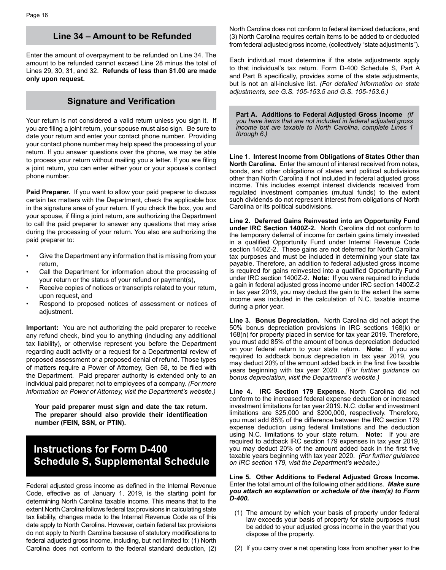#### **Line 34 – Amount to be Refunded**

Enter the amount of overpayment to be refunded on Line 34. The amount to be refunded cannot exceed Line 28 minus the total of Lines 29, 30, 31, and 32. **Refunds of less than \$1.00 are made only upon request.** 

#### **Signature and Verification**

Your return is not considered a valid return unless you sign it. If you are filing a joint return, your spouse must also sign. Be sure to date your return and enter your contact phone number. Providing your contact phone number may help speed the processing of your return. If you answer questions over the phone, we may be able to process your return without mailing you a letter. If you are filing a joint return, you can enter either your or your spouse's contact phone number.

**Paid Preparer.** If you want to allow your paid preparer to discuss certain tax matters with the Department, check the applicable box in the signature area of your return. If you check the box, you and your spouse, if filing a joint return, are authorizing the Department to call the paid preparer to answer any questions that may arise during the processing of your return. You also are authorizing the paid preparer to:

- Give the Department any information that is missing from your return,
- Call the Department for information about the processing of your return or the status of your refund or payment(s),
- Receive copies of notices or transcripts related to your return, upon request, and
- Respond to proposed notices of assessment or notices of adjustment.

**Important:** You are not authorizing the paid preparer to receive any refund check, bind you to anything (including any additional tax liability), or otherwise represent you before the Department regarding audit activity or a request for a Departmental review of proposed assessment or a proposed denial of refund. Those types of matters require a Power of Attorney, Gen 58, to be filed with the Department. Paid preparer authority is extended only to an individual paid preparer, not to employees of a company. *(For more information on Power of Attorney, visit the Department's website.)* 

**Your paid preparer must sign and date the tax return. The preparer should also provide their identification number (FEIN, SSN, or PTIN).** 

## **Instructions for Form D-400 Schedule S, Supplemental Schedule**

Federal adjusted gross income as defined in the Internal Revenue Code, effective as of January 1, 2019, is the starting point for determining North Carolina taxable income. This means that to the extent North Carolina follows federal tax provisions in calculating state tax liability, changes made to the Internal Revenue Code as of this date apply to North Carolina. However, certain federal tax provisions do not apply to North Carolina because of statutory modifications to federal adjusted gross income, including, but not limited to: (1) North Carolina does not conform to the federal standard deduction, (2) North Carolina does not conform to federal itemized deductions, and (3) North Carolina requires certain items to be added to or deducted from federal adjusted gross income, (collectively "state adjustments").

Each individual must determine if the state adjustments apply to that individual's tax return. Form D-400 Schedule S, Part A and Part B specifically, provides some of the state adjustments, but is not an all-inclusive list. *(For detailed information on state adjustments, see G.S. 105-153.5 and G.S. 105-153.6.)*

**Part A. Additions to Federal Adjusted Gross Income** *(If you have items that are not included in federal adjusted gross income but are taxable to North Carolina, complete Lines 1 through 6.)*

**Line 1. Interest Income from Obligations of States Other than North Carolina.** Enter the amount of interest received from notes, bonds, and other obligations of states and political subdivisions other than North Carolina if not included in federal adjusted gross income. This includes exempt interest dividends received from regulated investment companies (mutual funds) to the extent such dividends do not represent interest from obligations of North Carolina or its political subdivisions.

**Line 2. Deferred Gains Reinvested into an Opportunity Fund under IRC Section 1400Z-2.** North Carolina did not conform to the temporary deferral of income for certain gains timely invested in a qualified Opportunity Fund under Internal Revenue Code section 1400Z-2. These gains are not deferred for North Carolina tax purposes and must be included in determining your state tax payable. Therefore, an addition to federal adjusted gross income is required for gains reinvested into a qualified Opportunity Fund under IRC section 1400Z-2. **Note:** If you were required to include a gain in federal adjusted gross income under IRC section 1400Z-2 in tax year 2019, you may deduct the gain to the extent the same income was included in the calculation of N.C. taxable income during a prior year.

**Line 3. Bonus Depreciation.** North Carolina did not adopt the 50% bonus depreciation provisions in IRC sections 168(k) or 168(n) for property placed in service for tax year 2019. Therefore, you must add 85% of the amount of bonus depreciation deducted on your federal return to your state return. **Note:** If you are required to addback bonus depreciation in tax year 2019, you may deduct 20% of the amount added back in the first five taxable years beginning with tax year 2020. *(For further guidance on bonus depreciation, visit the Department's website.)* 

**Line 4. IRC Section 179 Expense.** North Carolina did not conform to the increased federal expense deduction or increased investment limitations for tax year 2019. N.C. dollar and investment limitations are \$25,000 and \$200,000, respectively. Therefore, you must add 85% of the difference between the IRC section 179 expense deduction using federal limitations and the deduction using N.C. limitations to your state return. **Note:** If you are required to addback IRC section 179 expenses in tax year 2019, you may deduct 20% of the amount added back in the first five taxable years beginning with tax year 2020. *(For further guidance on IRC section 179, visit the Department's website.)*

#### **Line 5. Other Additions to Federal Adjusted Gross Income.**  Enter the total amount of the following other additions. *Make sure you attach an explanation or schedule of the item(s) to Form D-400.*

- (1) The amount by which your basis of property under federal law exceeds your basis of property for state purposes must be added to your adjusted gross income in the year that you dispose of the property.
- (2) If you carry over a net operating loss from another year to the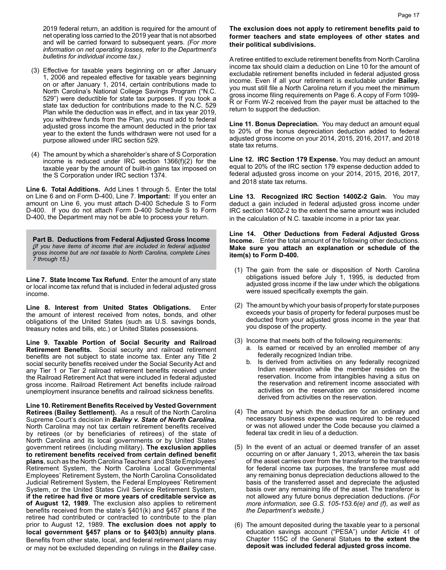2019 federal return, an addition is required for the amount of net operating loss carried to the 2019 year that is not absorbed and will be carried forward to subsequent years. *(For more information on net operating losses, refer to the Department's bulletins for individual income tax.)*

- (3) Effective for taxable years beginning on or after January 1, 2006 and repealed effective for taxable years beginning on or after January 1, 2014, certain contributions made to North Carolina's National College Savings Program ("N.C. 529") were deductible for state tax purposes. If you took a state tax deduction for contributions made to the N.C. 529 Plan while the deduction was in effect, and in tax year 2019, you withdrew funds from the Plan, you must add to federal adjusted gross income the amount deducted in the prior tax year to the extent the funds withdrawn were not used for a purpose allowed under IRC section 529.
- (4) The amount by which a shareholder's share of S Corporation income is reduced under IRC section 1366(f)(2) for the taxable year by the amount of built-in gains tax imposed on the S Corporation under IRC section 1374.

**Line 6. Total Additions.** Add Lines 1 through 5. Enter the total on Line 6 and on Form D-400, Line 7. **Important:** If you enter an amount on Line 6, you must attach D-400 Schedule S to Form D-400. If you do not attach Form D-400 Schedule S to Form D-400, the Department may not be able to process your return.

**Part B. Deductions from Federal Adjusted Gross Income**  *(If you have items of income that are included in federal adjusted gross income but are not taxable to North Carolina, complete Lines 7 through 15.)*

**Line 7. State Income Tax Refund.** Enter the amount of any state or local income tax refund that is included in federal adjusted gross income.

**Line 8. Interest from United States Obligations.** Enter the amount of interest received from notes, bonds, and other obligations of the United States (such as U.S. savings bonds, treasury notes and bills, etc.) or United States possessions.

**Line 9. Taxable Portion of Social Security and Railroad Retirement Benefits.** Social security and railroad retirement benefits are not subject to state income tax. Enter any Title 2 social security benefits received under the Social Security Act and any Tier 1 or Tier 2 railroad retirement benefits received under the Railroad Retirement Act that were included in federal adjusted gross income. Railroad Retirement Act benefits include railroad unemployment insurance benefits and railroad sickness benefits.

**Line 10. Retirement Benefits Received by Vested Government Retirees (Bailey Settlement).** As a result of the North Carolina Supreme Court's decision in *Bailey v. State of North Carolina*, North Carolina may not tax certain retirement benefits received by retirees (or by beneficiaries of retirees) of the state of North Carolina and its local governments or by United States government retirees (including military). **The exclusion applies to retirement benefits received from certain defined benefit plans**, such as the North Carolina Teachers' and State Employees' Retirement System, the North Carolina Local Governmental Employees' Retirement System, the North Carolina Consolidated Judicial Retirement System, the Federal Employees' Retirement System, or the United States Civil Service Retirement System, **if the retiree had five or more years of creditable service as of August 12, 1989**. The exclusion also applies to retirement benefits received from the state's §401(k) and §457 plans if the retiree had contributed or contracted to contribute to the plan prior to August 12, 1989. **The exclusion does not apply to local government §457 plans or to §403(b) annuity plans**. Benefits from other state, local, and federal retirement plans may or may not be excluded depending on rulings in the *Bailey* case.

#### **The exclusion does not apply to retirement benefits paid to former teachers and state employees of other states and their political subdivisions.**

A retiree entitled to exclude retirement benefits from North Carolina income tax should claim a deduction on Line 10 for the amount of excludable retirement benefits included in federal adjusted gross income. Even if all your retirement is excludable under **Bailey**, you must still file a North Carolina return if you meet the minimum gross income filing requirements on Page 6. A copy of Form 1099- R or Form W-2 received from the payer must be attached to the return to support the deduction.

**Line 11. Bonus Depreciation.** You may deduct an amount equal to 20% of the bonus depreciation deduction added to federal adjusted gross income on your 2014, 2015, 2016, 2017, and 2018 state tax returns.

**Line 12. IRC Section 179 Expense.** You may deduct an amount equal to 20% of the IRC section 179 expense deduction added to federal adjusted gross income on your 2014, 2015, 2016, 2017, and 2018 state tax returns.

**Line 13. Recognized IRC Section 1400Z-2 Gain.** You may deduct a gain included in federal adjusted gross income under IRC section 1400Z-2 to the extent the same amount was included in the calculation of N.C. taxable income in a prior tax year.

#### **Line 14. Other Deductions from Federal Adjusted Gross Income.** Enter the total amount of the following other deductions. **Make sure you attach an explanation or schedule of the item(s) to Form D-400.**

- (1) The gain from the sale or disposition of North Carolina obligations issued before July 1, 1995, is deducted from adjusted gross income if the law under which the obligations were issued specifically exempts the gain.
- (2) The amount by which your basis of property for state purposes exceeds your basis of property for federal purposes must be deducted from your adjusted gross income in the year that you dispose of the property.
- (3) Income that meets both of the following requirements:
	- a. Is earned or received by an enrolled member of any federally recognized Indian tribe.
	- b. Is derived from activities on any federally recognized Indian reservation while the member resides on the reservation. Income from intangibles having a situs on the reservation and retirement income associated with activities on the reservation are considered income derived from activities on the reservation.
- (4) The amount by which the deduction for an ordinary and necessary business expense was required to be reduced or was not allowed under the Code because you claimed a federal tax credit in lieu of a deduction.
- (5) In the event of an actual or deemed transfer of an asset occurring on or after January 1, 2013, wherein the tax basis of the asset carries over from the transferor to the transferee for federal income tax purposes, the transferee must add any remaining bonus depreciation deductions allowed to the basis of the transferred asset and depreciate the adjusted basis over any remaining life of the asset. The transferor is not allowed any future bonus depreciation deductions. *(For more information, see G.S. 105-153.6(e) and (f), as well as the Department's website.)*
- (6) The amount deposited during the taxable year to a personal education savings account ("PESA") under Article 41 of Chapter 115C of the General Statues **to the extent the deposit was included federal adjusted gross income.**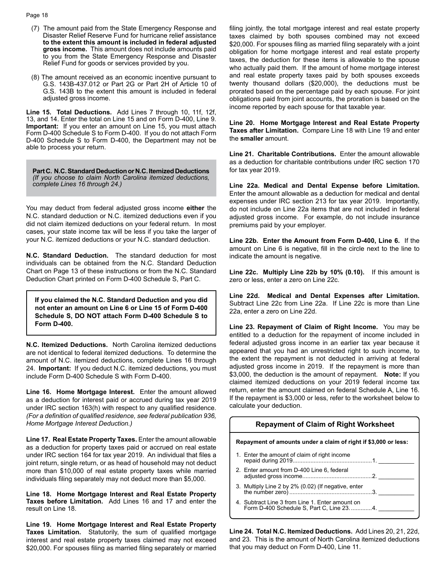- (7) The amount paid from the State Emergency Response and Disaster Relief Reserve Fund for hurricane relief assistance **to the extent this amount is included in federal adjusted gross income.** This amount does not include amounts paid to you from the State Emergency Response and Disaster Relief Fund for goods or services provided by you.
- (8) The amount received as an economic incentive pursuant to G.S. 143B-437.012 or Part 2G or Part 2H of Article 10 of G.S. 143B to the extent this amount is included in federal adjusted gross income.

**Line 15. Total Deductions.** Add Lines 7 through 10, 11f, 12f, 13, and 14. Enter the total on Line 15 and on Form D-400, Line 9. **Important:** If you enter an amount on Line 15, you must attach Form D-400 Schedule S to Form D-400. If you do not attach Form D-400 Schedule S to Form D-400, the Department may not be able to process your return.

**Part C. N.C. Standard Deduction or N.C. Itemized Deductions** *(If you choose to claim North Carolina itemized deductions, complete Lines 16 through 24.)*

You may deduct from federal adjusted gross income **either** the N.C. standard deduction or N.C. itemized deductions even if you did not claim itemized deductions on your federal return. In most cases, your state income tax will be less if you take the larger of your N.C. itemized deductions or your N.C. standard deduction.

**N.C. Standard Deduction.** The standard deduction for most individuals can be obtained from the N.C. Standard Deduction Chart on Page 13 of these instructions or from the N.C. Standard Deduction Chart printed on Form D-400 Schedule S, Part C.

**If you claimed the N.C. Standard Deduction and you did not enter an amount on Line 6 or Line 15 of Form D-400 Schedule S, DO NOT attach Form D-400 Schedule S to Form D-400.**

**N.C. Itemized Deductions.** North Carolina itemized deductions are not identical to federal itemized deductions. To determine the amount of N.C. itemized deductions, complete Lines 16 through 24. **Important:** If you deduct N.C. itemized deductions, you must include Form D-400 Schedule S with Form D-400.

**Line 16. Home Mortgage Interest.** Enter the amount allowed as a deduction for interest paid or accrued during tax year 2019 under IRC section 163(h) with respect to any qualified residence. *(For a definition of qualified residence, see federal publication 936, Home Mortgage Interest Deduction.)*

**Line 17. Real Estate Property Taxes.** Enter the amount allowable as a deduction for property taxes paid or accrued on real estate under IRC section 164 for tax year 2019. An individual that files a joint return, single return, or as head of household may not deduct more than \$10,000 of real estate property taxes while married individuals filing separately may not deduct more than \$5,000.

**Line 18. Home Mortgage Interest and Real Estate Property Taxes before Limitation.** Add Lines 16 and 17 and enter the result on Line 18.

**Line 19. Home Mortgage Interest and Real Estate Property Taxes Limitation.** Statutorily, the sum of qualified mortgage interest and real estate property taxes claimed may not exceed \$20,000. For spouses filing as married filing separately or married

filing jointly, the total mortgage interest and real estate property taxes claimed by both spouses combined may not exceed \$20,000. For spouses filing as married filing separately with a joint obligation for home mortgage interest and real estate property taxes, the deduction for these items is allowable to the spouse who actually paid them. If the amount of home mortgage interest and real estate property taxes paid by both spouses exceeds twenty thousand dollars (\$20,000), the deductions must be prorated based on the percentage paid by each spouse. For joint obligations paid from joint accounts, the proration is based on the income reported by each spouse for that taxable year.

**Line 20. Home Mortgage Interest and Real Estate Property Taxes after Limitation.** Compare Line 18 with Line 19 and enter the **smaller** amount.

**Line 21. Charitable Contributions.** Enter the amount allowable as a deduction for charitable contributions under IRC section 170 for tax year 2019.

**Line 22a. Medical and Dental Expense before Limitation.** Enter the amount allowable as a deduction for medical and dental expenses under IRC section 213 for tax year 2019. Importantly, do not include on Line 22a items that are not included in federal adjusted gross income. For example, do not include insurance premiums paid by your employer.

**Line 22b. Enter the Amount from Form D-400, Line 6.** If the amount on Line 6 is negative, fill in the circle next to the line to indicate the amount is negative.

**Line 22c. Multiply Line 22b by 10% (0.10).** If this amount is zero or less, enter a zero on Line 22c.

**Line 22d. Medical and Dental Expenses after Limitation.**  Subtract Line 22c from Line 22a. If Line 22c is more than Line 22a, enter a zero on Line 22d.

**Line 23. Repayment of Claim of Right Income.** You may be entitled to a deduction for the repayment of income included in federal adjusted gross income in an earlier tax year because it appeared that you had an unrestricted right to such income, to the extent the repayment is not deducted in arriving at federal adjusted gross income in 2019. If the repayment is more than \$3,000, the deduction is the amount of repayment. **Note:** If you claimed itemized deductions on your 2019 federal income tax return, enter the amount claimed on federal Schedule A, Line 16. If the repayment is \$3,000 or less, refer to the worksheet below to calculate your deduction.

| calculate your acquetion.                                                                   |  |  |  |  |  |  |  |
|---------------------------------------------------------------------------------------------|--|--|--|--|--|--|--|
| <b>Repayment of Claim of Right Worksheet</b>                                                |  |  |  |  |  |  |  |
| Repayment of amounts under a claim of right if \$3,000 or less:                             |  |  |  |  |  |  |  |
| 1. Enter the amount of claim of right income                                                |  |  |  |  |  |  |  |
| 2. Enter amount from D-400 Line 6, federal                                                  |  |  |  |  |  |  |  |
|                                                                                             |  |  |  |  |  |  |  |
| 4. Subtract Line 3 from Line 1. Enter amount on<br>Form D-400 Schedule S, Part C, Line 234. |  |  |  |  |  |  |  |

**Line 24. Total N.C. Itemized Deductions.** Add Lines 20, 21, 22d, and 23. This is the amount of North Carolina itemized deductions that you may deduct on Form D-400, Line 11.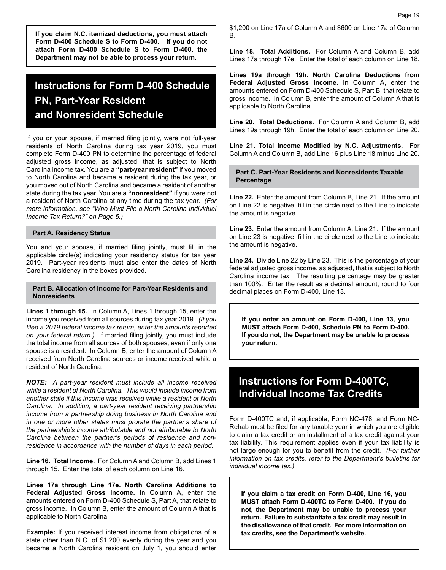**If you claim N.C. itemized deductions, you must attach Form D-400 Schedule S to Form D-400. If you do not attach Form D-400 Schedule S to Form D-400, the Department may not be able to process your return.**

## **Instructions for Form D-400 Schedule PN, Part-Year Resident and Nonresident Schedule**

If you or your spouse, if married filing jointly, were not full-year residents of North Carolina during tax year 2019, you must complete Form D-400 PN to determine the percentage of federal adjusted gross income, as adjusted, that is subject to North Carolina income tax. You are a **"part-year resident"** if you moved to North Carolina and became a resident during the tax year, or you moved out of North Carolina and became a resident of another state during the tax year. You are a **"nonresident"** if you were not a resident of North Carolina at any time during the tax year. *(For more information, see "Who Must File a North Carolina Individual Income Tax Return?" on Page 5.)*

#### **Part A. Residency Status**

You and your spouse, if married filing jointly, must fill in the applicable circle(s) indicating your residency status for tax year 2019. Part-year residents must also enter the dates of North Carolina residency in the boxes provided.

#### **Part B. Allocation of Income for Part-Year Residents and Nonresidents**

**Lines 1 through 15.** In Column A, Lines 1 through 15, enter the income you received from all sources during tax year 2019. *(If you filed a 2019 federal income tax return, enter the amounts reported on your federal return.)* If married filing jointly, you must include the total income from all sources of both spouses, even if only one spouse is a resident. In Column B, enter the amount of Column A received from North Carolina sources or income received while a resident of North Carolina.

*NOTE: A part-year resident must include all income received while a resident of North Carolina. This would include income from another state if this income was received while a resident of North Carolina. In addition, a part-year resident receiving partnership income from a partnership doing business in North Carolina and in one or more other states must prorate the partner's share of the partnership's income attributable and not attributable to North Carolina between the partner's periods of residence and nonresidence in accordance with the number of days in each period.*

**Line 16. Total Income.** For Column A and Column B, add Lines 1 through 15. Enter the total of each column on Line 16.

**Lines 17a through Line 17e. North Carolina Additions to Federal Adjusted Gross Income.** In Column A, enter the amounts entered on Form D-400 Schedule S, Part A, that relate to gross income. In Column B, enter the amount of Column A that is applicable to North Carolina.

**Example:** If you received interest income from obligations of a state other than N.C. of \$1,200 evenly during the year and you became a North Carolina resident on July 1, you should enter \$1,200 on Line 17a of Column A and \$600 on Line 17a of Column B.

**Line 18. Total Additions.** For Column A and Column B, add Lines 17a through 17e. Enter the total of each column on Line 18.

**Lines 19a through 19h. North Carolina Deductions from Federal Adjusted Gross Income.** In Column A, enter the amounts entered on Form D-400 Schedule S, Part B, that relate to gross income. In Column B, enter the amount of Column A that is applicable to North Carolina.

**Line 20. Total Deductions.** For Column A and Column B, add Lines 19a through 19h. Enter the total of each column on Line 20.

**Line 21. Total Income Modified by N.C. Adjustments.** For Column A and Column B, add Line 16 plus Line 18 minus Line 20.

#### **Part C. Part-Year Residents and Nonresidents Taxable Percentage**

**Line 22.** Enter the amount from Column B, Line 21. If the amount on Line 22 is negative, fill in the circle next to the Line to indicate the amount is negative.

**Line 23.** Enter the amount from Column A, Line 21. If the amount on Line 23 is negative, fill in the circle next to the Line to indicate the amount is negative.

**Line 24.** Divide Line 22 by Line 23. This is the percentage of your federal adjusted gross income, as adjusted, that is subject to North Carolina income tax. The resulting percentage may be greater than 100%. Enter the result as a decimal amount; round to four decimal places on Form D-400, Line 13.

**If you enter an amount on Form D-400, Line 13, you MUST attach Form D-400, Schedule PN to Form D-400. If you do not, the Department may be unable to process your return.**

## **Instructions for Form D-400TC, Individual Income Tax Credits**

Form D-400TC and, if applicable, Form NC-478, and Form NC-Rehab must be filed for any taxable year in which you are eligible to claim a tax credit or an installment of a tax credit against your tax liability. This requirement applies even if your tax liability is not large enough for you to benefit from the credit. *(For further information on tax credits, refer to the Department's bulletins for individual income tax.)* 

**If you claim a tax credit on Form D-400, Line 16, you MUST attach Form D-400TC to Form D-400. If you do not, the Department may be unable to process your return. Failure to substantiate a tax credit may result in the disallowance of that credit. For more information on tax credits, see the Department's website.**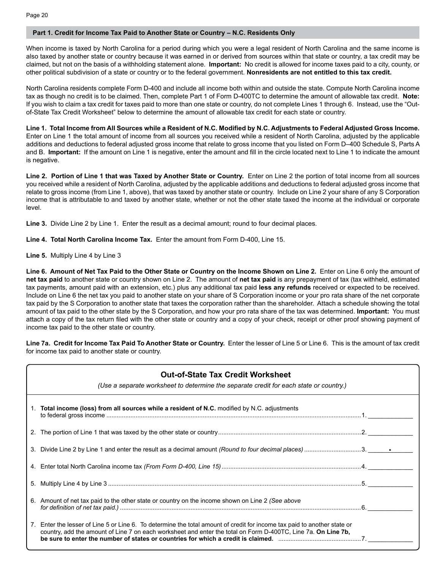#### **Part 1. Credit for Income Tax Paid to Another State or Country – N.C. Residents Only**

When income is taxed by North Carolina for a period during which you were a legal resident of North Carolina and the same income is also taxed by another state or country because it was earned in or derived from sources within that state or country, a tax credit may be claimed, but not on the basis of a withholding statement alone. **Important:** No credit is allowed for income taxes paid to a city, county, or other political subdivision of a state or country or to the federal government. **Nonresidents are not entitled to this tax credit.** 

North Carolina residents complete Form D-400 and include all income both within and outside the state. Compute North Carolina income tax as though no credit is to be claimed. Then, complete Part 1 of Form D-400TC to determine the amount of allowable tax credit. **Note:** If you wish to claim a tax credit for taxes paid to more than one state or country, do not complete Lines 1 through 6. Instead, use the "Outof-State Tax Credit Worksheet" below to determine the amount of allowable tax credit for each state or country.

**Line 1. Total Income from All Sources while a Resident of N.C. Modified by N.C. Adjustments to Federal Adjusted Gross Income.**  Enter on Line 1 the total amount of income from all sources you received while a resident of North Carolina, adjusted by the applicable additions and deductions to federal adjusted gross income that relate to gross income that you listed on Form D–400 Schedule S, Parts A and B. **Important:** If the amount on Line 1 is negative, enter the amount and fill in the circle located next to Line 1 to indicate the amount is negative.

**Line 2. Portion of Line 1 that was Taxed by Another State or Country.** Enter on Line 2 the portion of total income from all sources you received while a resident of North Carolina, adjusted by the applicable additions and deductions to federal adjusted gross income that relate to gross income (from Line 1, above), that was taxed by another state or country. Include on Line 2 your share of any S Corporation income that is attributable to and taxed by another state, whether or not the other state taxed the income at the individual or corporate level.

**Line 3.** Divide Line 2 by Line 1. Enter the result as a decimal amount; round to four decimal places.

**Line 4. Total North Carolina Income Tax.** Enter the amount from Form D-400, Line 15.

**Line 5.** Multiply Line 4 by Line 3

**Line 6. Amount of Net Tax Paid to the Other State or Country on the Income Shown on Line 2.** Enter on Line 6 only the amount of **net tax paid** to another state or country shown on Line 2. The amount of **net tax paid** is any prepayment of tax (tax withheld, estimated tax payments, amount paid with an extension, etc.) plus any additional tax paid **less any refunds** received or expected to be received. Include on Line 6 the net tax you paid to another state on your share of S Corporation income or your pro rata share of the net corporate tax paid by the S Corporation to another state that taxes the corporation rather than the shareholder. Attach a schedule showing the total amount of tax paid to the other state by the S Corporation, and how your pro rata share of the tax was determined. **Important:** You must attach a copy of the tax return filed with the other state or country and a copy of your check, receipt or other proof showing payment of income tax paid to the other state or country.

**Line 7a. Credit for Income Tax Paid To Another State or Country.** Enter the lesser of Line 5 or Line 6. This is the amount of tax credit for income tax paid to another state or country.

| <b>Out-of-State Tax Credit Worksheet</b><br>(Use a separate worksheet to determine the separate credit for each state or country.)                                                                                                        |  |
|-------------------------------------------------------------------------------------------------------------------------------------------------------------------------------------------------------------------------------------------|--|
| 1. Total income (loss) from all sources while a resident of N.C. modified by N.C. adjustments                                                                                                                                             |  |
|                                                                                                                                                                                                                                           |  |
|                                                                                                                                                                                                                                           |  |
|                                                                                                                                                                                                                                           |  |
|                                                                                                                                                                                                                                           |  |
| 6. Amount of net tax paid to the other state or country on the income shown on Line 2 (See above                                                                                                                                          |  |
| 7. Enter the lesser of Line 5 or Line 6. To determine the total amount of credit for income tax paid to another state or<br>country, add the amount of Line 7 on each worksheet and enter the total on Form D-400TC, Line 7a. On Line 7b, |  |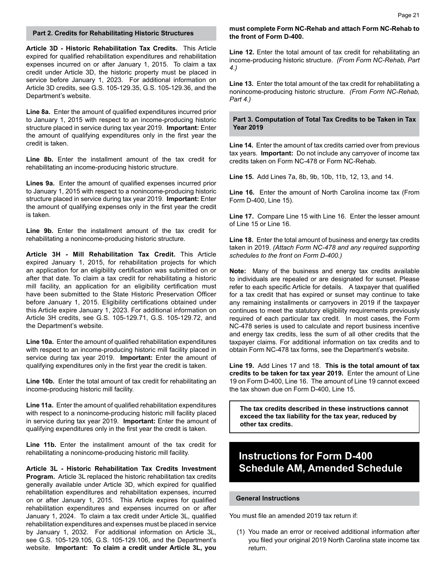**Article 3D - Historic Rehabilitation Tax Credits.** This Article expired for qualified rehabilitation expenditures and rehabilitation expenses incurred on or after January 1, 2015. To claim a tax credit under Article 3D, the historic property must be placed in service before January 1, 2023. For additional information on Article 3D credits, see G.S. 105-129.35, G.S. 105-129.36, and the Department's website.

**Line 8a.** Enter the amount of qualified expenditures incurred prior to January 1, 2015 with respect to an income-producing historic structure placed in service during tax year 2019. **Important:** Enter the amount of qualifying expenditures only in the first year the credit is taken.

**Line 8b.** Enter the installment amount of the tax credit for rehabilitating an income-producing historic structure.

**Lines 9a.** Enter the amount of qualified expenses incurred prior to January 1, 2015 with respect to a nonincome-producing historic structure placed in service during tax year 2019. **Important:** Enter the amount of qualifying expenses only in the first year the credit is taken.

**Line 9b.** Enter the installment amount of the tax credit for rehabilitating a nonincome-producing historic structure.

**Article 3H - Mill Rehabilitation Tax Credit.** This Article expired January 1, 2015, for rehabilitation projects for which an application for an eligibility certification was submitted on or after that date. To claim a tax credit for rehabilitating a historic mill facility, an application for an eligibility certification must have been submitted to the State Historic Preservation Officer before January 1, 2015. Eligibility certifications obtained under this Article expire January 1, 2023. For additional information on Article 3H credits, see G.S. 105-129.71, G.S. 105-129.72, and the Department's website.

**Line 10a.** Enter the amount of qualified rehabilitation expenditures with respect to an income-producing historic mill facility placed in service during tax year 2019. **Important:** Enter the amount of qualifying expenditures only in the first year the credit is taken.

**Line 10b.** Enter the total amount of tax credit for rehabilitating an income-producing historic mill facility.

**Line 11a.** Enter the amount of qualified rehabilitation expenditures with respect to a nonincome-producing historic mill facility placed in service during tax year 2019. **Important:** Enter the amount of qualifying expenditures only in the first year the credit is taken.

**Line 11b.** Enter the installment amount of the tax credit for rehabilitating a nonincome-producing historic mill facility.

**Article 3L - Historic Rehabilitation Tax Credits Investment Program.** Article 3L replaced the historic rehabilitation tax credits generally available under Article 3D, which expired for qualified rehabilitation expenditures and rehabilitation expenses, incurred on or after January 1, 2015. This Article expires for qualified rehabilitation expenditures and expenses incurred on or after January 1, 2024. To claim a tax credit under Article 3L, qualified rehabilitation expenditures and expenses must be placed in service by January 1, 2032. For additional information on Article 3L, see G.S. 105-129.105, G.S. 105-129.106, and the Department's website. **Important: To claim a credit under Article 3L, you** 

#### **Part 2. Credits for Rehabilitating Historic Structures must complete Form NC-Rehab and attach Form NC-Rehab to the front of Form D-400.**

**Line 12.** Enter the total amount of tax credit for rehabilitating an income-producing historic structure. *(From Form NC-Rehab, Part 4.)*

**Line 13.** Enter the total amount of the tax credit for rehabilitating a nonincome-producing historic structure. *(From Form NC-Rehab, Part 4.)* 

**Part 3. Computation of Total Tax Credits to be Taken in Tax Year 2019**

**Line 14.** Enter the amount of tax credits carried over from previous tax years. **Important:** Do not include any carryover of income tax credits taken on Form NC-478 or Form NC-Rehab.

**Line 15.** Add Lines 7a, 8b, 9b, 10b, 11b, 12, 13, and 14.

**Line 16.** Enter the amount of North Carolina income tax (From Form D-400, Line 15).

**Line 17.** Compare Line 15 with Line 16. Enter the lesser amount of Line 15 or Line 16.

**Line 18.** Enter the total amount of business and energy tax credits taken in 2019. *(Attach Form NC-478 and any required supporting schedules to the front on Form D-400.)*

**Note:** Many of the business and energy tax credits available to individuals are repealed or are designated for sunset. Please refer to each specific Article for details. A taxpayer that qualified for a tax credit that has expired or sunset may continue to take any remaining installments or carryovers in 2019 if the taxpayer continues to meet the statutory eligibility requirements previously required of each particular tax credit. In most cases, the Form NC-478 series is used to calculate and report business incentive and energy tax credits, less the sum of all other credits that the taxpayer claims. For additional information on tax credits and to obtain Form NC-478 tax forms, see the Department's website.

**Line 19.** Add Lines 17 and 18. **This is the total amount of tax credits to be taken for tax year 2019.** Enter the amount of Line 19 on Form D-400, Line 16. The amount of Line 19 cannot exceed the tax shown due on Form D-400, Line 15.

**The tax credits described in these instructions cannot exceed the tax liability for the tax year, reduced by other tax credits.**

## **Instructions for Form D-400 Schedule AM, Amended Schedule**

#### **General Instructions**

You must file an amended 2019 tax return if:

(1) You made an error or received additional information after you filed your original 2019 North Carolina state income tax return.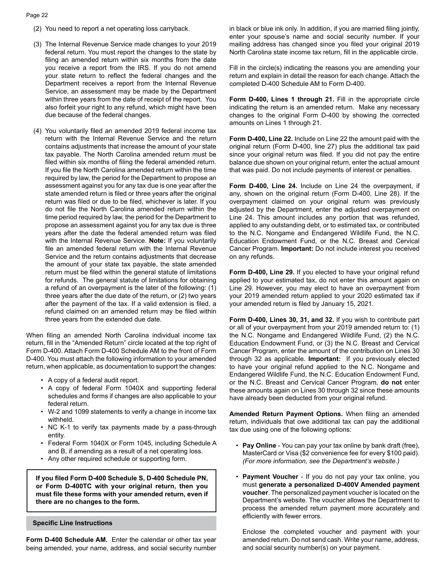#### Page 22

- (2) You need to report a net operating loss carryback.
- (3) The Internal Revenue Service made changes to your 2019 federal return. You must report the changes to the state by filing an amended return within six months from the date you receive a report from the IRS. If you do not amend your state return to reflect the federal changes and the Department receives a report from the Internal Revenue Service, an assessment may be made by the Department within three years from the date of receipt of the report. You also forfeit your right to any refund, which might have been due because of the federal changes.
- (4) You voluntarily filed an amended 2019 federal income tax return with the Internal Revenue Service and the return contains adjustments that increase the amount of your state tax payable. The North Carolina amended return must be filed within six months of filing the federal amended return. If you file the North Carolina amended return within the time required by law, the period for the Department to propose an assessment against you for any tax due is one year after the state amended return is filed or three years after the original return was filed or due to be filed, whichever is later. If you do not file the North Carolina amended return within the time period required by law, the period for the Department to propose an assessment against you for any tax due is three years after the date the federal amended return was filed with the Internal Revenue Service. **Note:** If you voluntarily file an amended federal return with the Internal Revenue Service and the return contains adjustments that decrease the amount of your state tax payable, the state amended return must be filed within the general statute of limitations for refunds. The general statute of limitations for obtaining a refund of an overpayment is the later of the following: (1) three years after the due date of the return, or (2) two years after the payment of the tax. If a valid extension is filed, a refund claimed on an amended return may be filed within three years from the extended due date.

When filing an amended North Carolina individual income tax return, fill in the "Amended Return" circle located at the top right of Form D-400. Attach Form D-400 Schedule AM to the front of Form D-400. You must attach the following information to your amended return, when applicable, as documentation to support the changes:

- A copy of a federal audit report.
- A copy of federal Form 1040X and supporting federal schedules and forms if changes are also applicable to your federal return.
- W-2 and 1099 statements to verify a change in income tax withheld.
- NC K-1 to verify tax payments made by a pass-through entity.
- Federal Form 1040X or Form 1045, including Schedule A and B, if amending as a result of a net operating loss.
- Any other required schedule or supporting form.

**If you filed Form D-400 Schedule S, D-400 Schedule PN, or Form D-400TC with your original return, then you must file these forms with your amended return, even if there are no changes to the form.**

**Specific Line Instructions**

**Form D-400 Schedule AM.** Enter the calendar or other tax year being amended, your name, address, and social security number in black or blue ink only. In addition, if you are married filing jointly, enter your spouse's name and social security number. If your mailing address has changed since you filed your original 2019 North Carolina state income tax return, fill in the applicable circle.

Fill in the circle(s) indicating the reasons you are amending your return and explain in detail the reason for each change. Attach the completed D-400 Schedule AM to Form D-400.

**Form D-400, Lines 1 through 21.** Fill in the appropriate circle indicating the return is an amended return. Make any necessary changes to the original Form D-400 by showing the corrected amounts on Lines 1 through 21.

**Form D-400, Line 22.** Include on Line 22 the amount paid with the original return (Form D-400, line 27) plus the additional tax paid since your original return was filed. If you did not pay the entire balance due shown on your original return, enter the actual amount that was paid. Do not include payments of interest or penalties.

**Form D-400, Line 24.** Include on Line 24 the overpayment, if any, shown on the original return (Form D-400, Line 28). If the overpayment claimed on your original return was previously adjusted by the Department, enter the adjusted overpayment on Line 24. This amount includes any portion that was refunded, applied to any outstanding debt, or to estimated tax, or contributed to the N.C. Nongame and Endangered Wildlife Fund, the N.C. Education Endowment Fund, or the N.C. Breast and Cervical Cancer Program. **Important:** Do not include interest you received on any refunds.

**Form D-400, Line 29.** If you elected to have your original refund applied to your estimated tax, do not enter this amount again on Line 29. However, you may elect to have an overpayment from your 2019 amended return applied to your 2020 estimated tax if your amended return is filed by January 15, 2021.

**Form D-400, Lines 30, 31, and 32.** If you wish to contribute part or all of your overpayment from your 2019 amended return to: (1) the N.C. Nongame and Endangered Wildlife Fund, (2) the N.C. Education Endowment Fund, or (3) the N.C. Breast and Cervical Cancer Program, enter the amount of the contribution on Lines 30 through 32 as applicable. **Important:** If you previously elected to have your original refund applied to the N.C. Nongame and Endangered Wildlife Fund, the N.C. Education Endowment Fund, or the N.C. Breast and Cervical Cancer Program, **do not** enter these amounts again on Lines 30 through 32 since these amounts have already been deducted from your original refund.

**Amended Return Payment Options.** When filing an amended return, individuals that owe additional tax can pay the additional tax due using one of the following options:

- **Pay Online** You can pay your tax online by bank draft (free), MasterCard or Visa (\$2 convenience fee for every \$100 paid). *(For more information, see the Department's website.)*
- **Payment Voucher**  If you do not pay your tax online, you must **generate a personalized D-400V Amended payment voucher**. The personalized payment voucher is located on the Department's website. The voucher allows the Department to process the amended return payment more accurately and efficiently with fewer errors.

Enclose the completed voucher and payment with your amended return. Do not send cash. Write your name, address, and social security number(s) on your payment.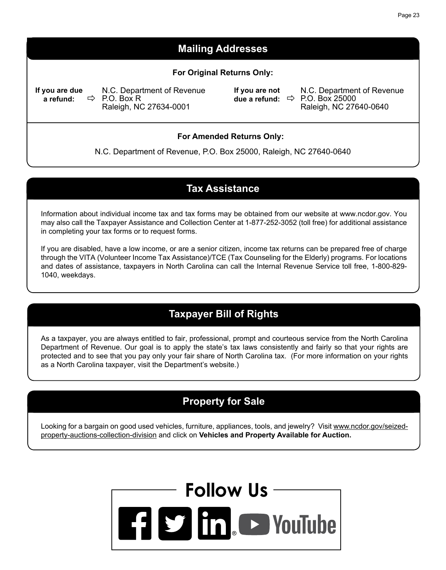## **Mailing Addresses**

#### **For Original Returns Only:**

**If you are due a refund:**

N.C. Department of Revenue P.O. Box R Raleigh, NC 27634-0001

**If you are not due a refund:**

N.C. Department of Revenue P.O. Box 25000 Raleigh, NC 27640-0640

#### **For Amended Returns Only:**

N.C. Department of Revenue, P.O. Box 25000, Raleigh, NC 27640-0640

### **Tax Assistance**

Information about individual income tax and tax forms may be obtained from our website at www.ncdor.gov. You may also call the Taxpayer Assistance and Collection Center at 1-877-252-3052 (toll free) for additional assistance in completing your tax forms or to request forms.

If you are disabled, have a low income, or are a senior citizen, income tax returns can be prepared free of charge through the VITA (Volunteer Income Tax Assistance)/TCE (Tax Counseling for the Elderly) programs. For locations and dates of assistance, taxpayers in North Carolina can call the Internal Revenue Service toll free, 1-800-829- 1040, weekdays.

## **Taxpayer Bill of Rights**

As a taxpayer, you are always entitled to fair, professional, prompt and courteous service from the North Carolina Department of Revenue. Our goal is to apply the state's tax laws consistently and fairly so that your rights are protected and to see that you pay only your fair share of North Carolina tax. (For more information on your rights as a North Carolina taxpayer, visit the Department's website.)

## **Property for Sale**

Looking for a bargain on good used vehicles, furniture, appliances, tools, and jewelry? Visit www.ncdor.gov/seizedproperty-auctions-collection-division and click on **Vehicles and Property Available for Auction.**